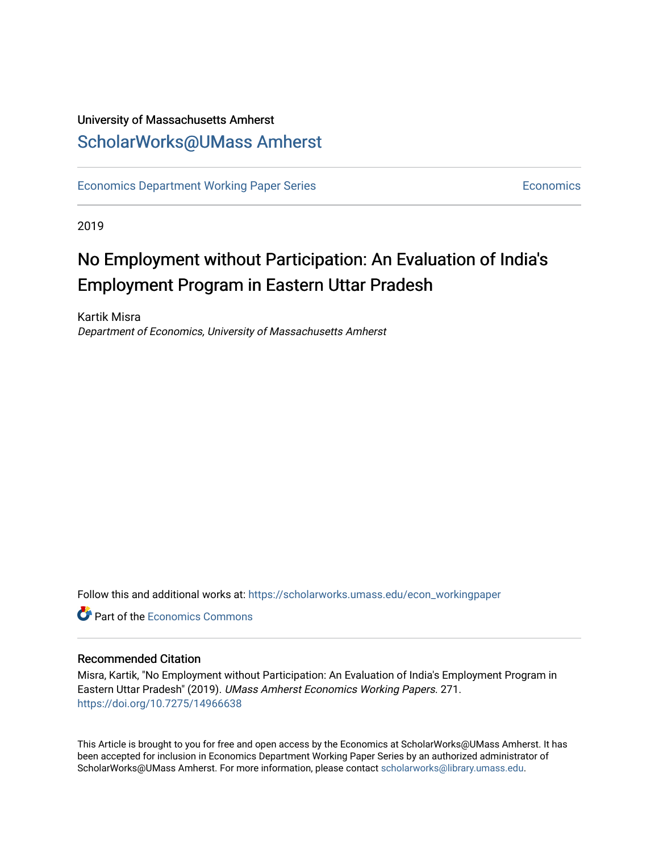# University of Massachusetts Amherst [ScholarWorks@UMass Amherst](https://scholarworks.umass.edu/)

[Economics Department Working Paper Series](https://scholarworks.umass.edu/econ_workingpaper) **Economics** [Economics](https://scholarworks.umass.edu/economics) Economics

2019

# No Employment without Participation: An Evaluation of India's Employment Program in Eastern Uttar Pradesh

Kartik Misra Department of Economics, University of Massachusetts Amherst

Follow this and additional works at: [https://scholarworks.umass.edu/econ\\_workingpaper](https://scholarworks.umass.edu/econ_workingpaper?utm_source=scholarworks.umass.edu%2Fecon_workingpaper%2F271&utm_medium=PDF&utm_campaign=PDFCoverPages) 

**C** Part of the [Economics Commons](http://network.bepress.com/hgg/discipline/340?utm_source=scholarworks.umass.edu%2Fecon_workingpaper%2F271&utm_medium=PDF&utm_campaign=PDFCoverPages)

# Recommended Citation

Misra, Kartik, "No Employment without Participation: An Evaluation of India's Employment Program in Eastern Uttar Pradesh" (2019). UMass Amherst Economics Working Papers. 271. <https://doi.org/10.7275/14966638>

This Article is brought to you for free and open access by the Economics at ScholarWorks@UMass Amherst. It has been accepted for inclusion in Economics Department Working Paper Series by an authorized administrator of ScholarWorks@UMass Amherst. For more information, please contact [scholarworks@library.umass.edu.](mailto:scholarworks@library.umass.edu)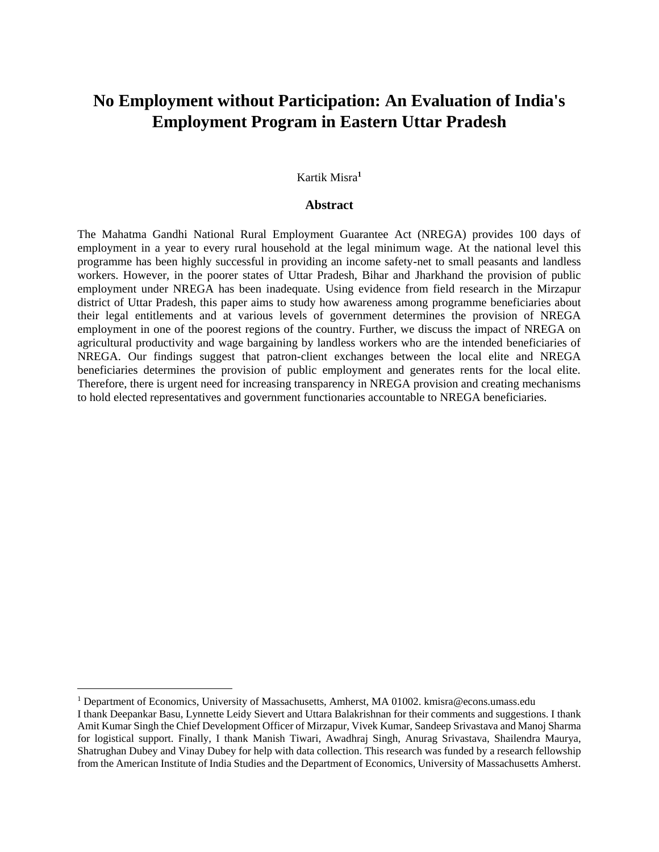# **No Employment without Participation: An Evaluation of India's Employment Program in Eastern Uttar Pradesh**

# Kartik Misra**<sup>1</sup>**

#### **Abstract**

The Mahatma Gandhi National Rural Employment Guarantee Act (NREGA) provides 100 days of employment in a year to every rural household at the legal minimum wage. At the national level this programme has been highly successful in providing an income safety-net to small peasants and landless workers. However, in the poorer states of Uttar Pradesh, Bihar and Jharkhand the provision of public employment under NREGA has been inadequate. Using evidence from field research in the Mirzapur district of Uttar Pradesh, this paper aims to study how awareness among programme beneficiaries about their legal entitlements and at various levels of government determines the provision of NREGA employment in one of the poorest regions of the country. Further, we discuss the impact of NREGA on agricultural productivity and wage bargaining by landless workers who are the intended beneficiaries of NREGA. Our findings suggest that patron-client exchanges between the local elite and NREGA beneficiaries determines the provision of public employment and generates rents for the local elite. Therefore, there is urgent need for increasing transparency in NREGA provision and creating mechanisms to hold elected representatives and government functionaries accountable to NREGA beneficiaries.

 $\overline{a}$ 

<sup>1</sup> Department of Economics, University of Massachusetts, Amherst, MA 01002. kmisra@econs.umass.edu I thank Deepankar Basu, Lynnette Leidy Sievert and Uttara Balakrishnan for their comments and suggestions. I thank Amit Kumar Singh the Chief Development Officer of Mirzapur, Vivek Kumar, Sandeep Srivastava and Manoj Sharma for logistical support. Finally, I thank Manish Tiwari, Awadhraj Singh, Anurag Srivastava, Shailendra Maurya, Shatrughan Dubey and Vinay Dubey for help with data collection. This research was funded by a research fellowship from the American Institute of India Studies and the Department of Economics, University of Massachusetts Amherst.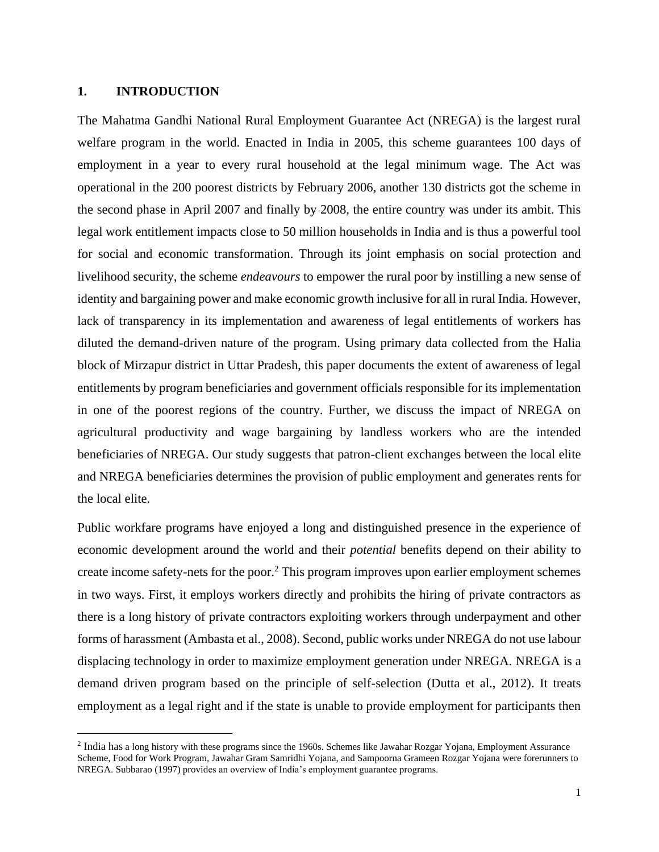#### **1. INTRODUCTION**

 $\overline{a}$ 

The Mahatma Gandhi National Rural Employment Guarantee Act (NREGA) is the largest rural welfare program in the world. Enacted in India in 2005, this scheme guarantees 100 days of employment in a year to every rural household at the legal minimum wage. The Act was operational in the 200 poorest districts by February 2006, another 130 districts got the scheme in the second phase in April 2007 and finally by 2008, the entire country was under its ambit. This legal work entitlement impacts close to 50 million households in India and is thus a powerful tool for social and economic transformation. Through its joint emphasis on social protection and livelihood security, the scheme *endeavours* to empower the rural poor by instilling a new sense of identity and bargaining power and make economic growth inclusive for all in rural India. However, lack of transparency in its implementation and awareness of legal entitlements of workers has diluted the demand-driven nature of the program. Using primary data collected from the Halia block of Mirzapur district in Uttar Pradesh, this paper documents the extent of awareness of legal entitlements by program beneficiaries and government officials responsible for its implementation in one of the poorest regions of the country. Further, we discuss the impact of NREGA on agricultural productivity and wage bargaining by landless workers who are the intended beneficiaries of NREGA. Our study suggests that patron-client exchanges between the local elite and NREGA beneficiaries determines the provision of public employment and generates rents for the local elite.

Public workfare programs have enjoyed a long and distinguished presence in the experience of economic development around the world and their *potential* benefits depend on their ability to create income safety-nets for the poor.<sup>2</sup> This program improves upon earlier employment schemes in two ways. First, it employs workers directly and prohibits the hiring of private contractors as there is a long history of private contractors exploiting workers through underpayment and other forms of harassment (Ambasta et al., 2008). Second, public works under NREGA do not use labour displacing technology in order to maximize employment generation under NREGA. NREGA is a demand driven program based on the principle of self-selection (Dutta et al., 2012). It treats employment as a legal right and if the state is unable to provide employment for participants then

<sup>&</sup>lt;sup>2</sup> India has a long history with these programs since the 1960s. Schemes like Jawahar Rozgar Yojana, Employment Assurance Scheme, Food for Work Program, Jawahar Gram Samridhi Yojana, and Sampoorna Grameen Rozgar Yojana were forerunners to NREGA. Subbarao (1997) provides an overview of India's employment guarantee programs.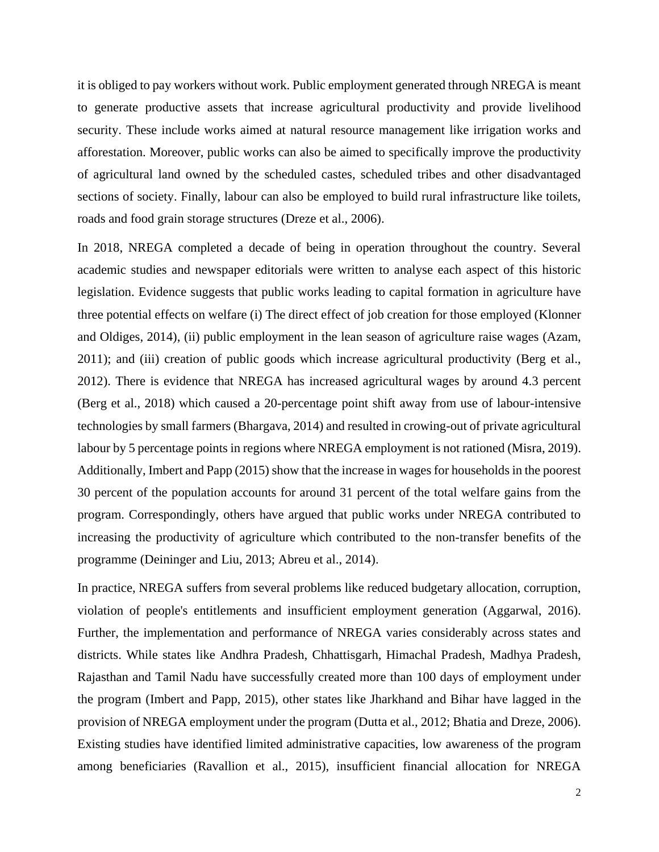it is obliged to pay workers without work. Public employment generated through NREGA is meant to generate productive assets that increase agricultural productivity and provide livelihood security. These include works aimed at natural resource management like irrigation works and afforestation. Moreover, public works can also be aimed to specifically improve the productivity of agricultural land owned by the scheduled castes, scheduled tribes and other disadvantaged sections of society. Finally, labour can also be employed to build rural infrastructure like toilets, roads and food grain storage structures (Dreze et al., 2006).

In 2018, NREGA completed a decade of being in operation throughout the country. Several academic studies and newspaper editorials were written to analyse each aspect of this historic legislation. Evidence suggests that public works leading to capital formation in agriculture have three potential effects on welfare (i) The direct effect of job creation for those employed (Klonner and Oldiges, 2014), (ii) public employment in the lean season of agriculture raise wages (Azam, 2011); and (iii) creation of public goods which increase agricultural productivity (Berg et al., 2012). There is evidence that NREGA has increased agricultural wages by around 4.3 percent (Berg et al., 2018) which caused a 20-percentage point shift away from use of labour-intensive technologies by small farmers (Bhargava, 2014) and resulted in crowing-out of private agricultural labour by 5 percentage points in regions where NREGA employment is not rationed (Misra, 2019). Additionally, Imbert and Papp (2015) show that the increase in wages for households in the poorest 30 percent of the population accounts for around 31 percent of the total welfare gains from the program. Correspondingly, others have argued that public works under NREGA contributed to increasing the productivity of agriculture which contributed to the non-transfer benefits of the programme (Deininger and Liu, 2013; Abreu et al., 2014).

In practice, NREGA suffers from several problems like reduced budgetary allocation, corruption, violation of people's entitlements and insufficient employment generation (Aggarwal, 2016). Further, the implementation and performance of NREGA varies considerably across states and districts. While states like Andhra Pradesh, Chhattisgarh, Himachal Pradesh, Madhya Pradesh, Rajasthan and Tamil Nadu have successfully created more than 100 days of employment under the program (Imbert and Papp, 2015), other states like Jharkhand and Bihar have lagged in the provision of NREGA employment under the program (Dutta et al., 2012; Bhatia and Dreze, 2006). Existing studies have identified limited administrative capacities, low awareness of the program among beneficiaries (Ravallion et al., 2015), insufficient financial allocation for NREGA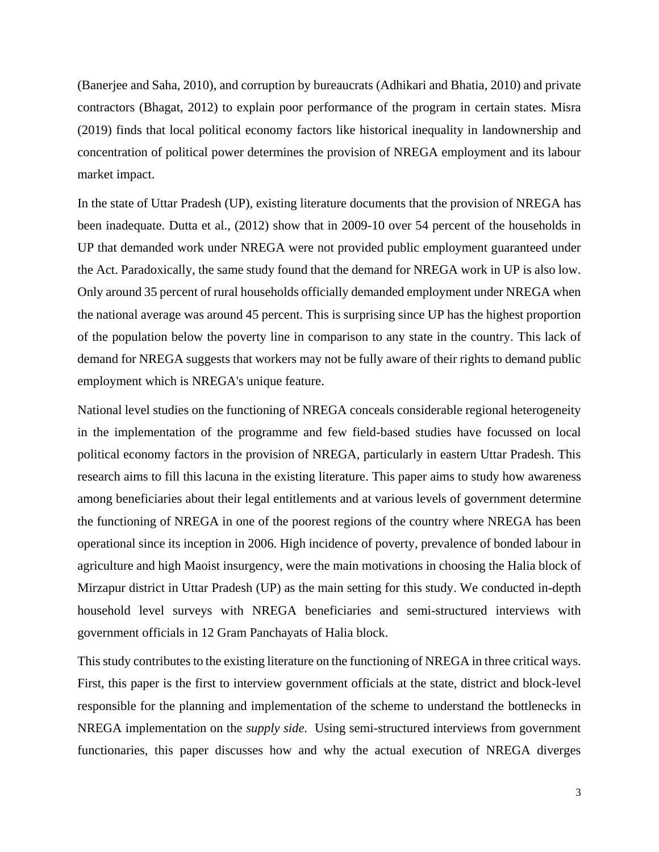(Banerjee and Saha, 2010), and corruption by bureaucrats (Adhikari and Bhatia, 2010) and private contractors (Bhagat, 2012) to explain poor performance of the program in certain states. Misra (2019) finds that local political economy factors like historical inequality in landownership and concentration of political power determines the provision of NREGA employment and its labour market impact.

In the state of Uttar Pradesh (UP), existing literature documents that the provision of NREGA has been inadequate. Dutta et al., (2012) show that in 2009-10 over 54 percent of the households in UP that demanded work under NREGA were not provided public employment guaranteed under the Act. Paradoxically, the same study found that the demand for NREGA work in UP is also low. Only around 35 percent of rural households officially demanded employment under NREGA when the national average was around 45 percent. This is surprising since UP has the highest proportion of the population below the poverty line in comparison to any state in the country. This lack of demand for NREGA suggests that workers may not be fully aware of their rights to demand public employment which is NREGA's unique feature.

National level studies on the functioning of NREGA conceals considerable regional heterogeneity in the implementation of the programme and few field-based studies have focussed on local political economy factors in the provision of NREGA, particularly in eastern Uttar Pradesh. This research aims to fill this lacuna in the existing literature. This paper aims to study how awareness among beneficiaries about their legal entitlements and at various levels of government determine the functioning of NREGA in one of the poorest regions of the country where NREGA has been operational since its inception in 2006. High incidence of poverty, prevalence of bonded labour in agriculture and high Maoist insurgency, were the main motivations in choosing the Halia block of Mirzapur district in Uttar Pradesh (UP) as the main setting for this study. We conducted in-depth household level surveys with NREGA beneficiaries and semi-structured interviews with government officials in 12 Gram Panchayats of Halia block.

This study contributes to the existing literature on the functioning of NREGA in three critical ways. First, this paper is the first to interview government officials at the state, district and block-level responsible for the planning and implementation of the scheme to understand the bottlenecks in NREGA implementation on the *supply side.* Using semi-structured interviews from government functionaries, this paper discusses how and why the actual execution of NREGA diverges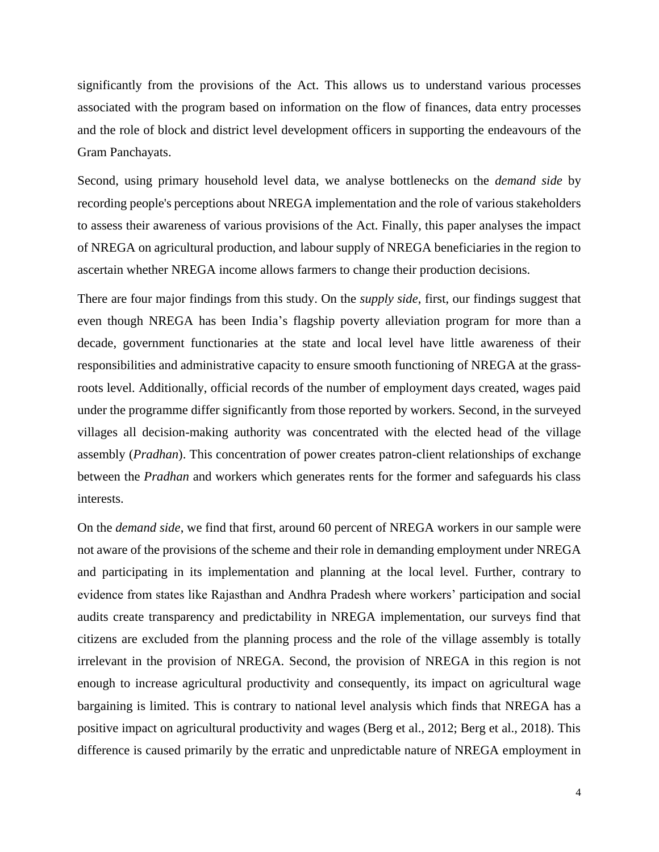significantly from the provisions of the Act. This allows us to understand various processes associated with the program based on information on the flow of finances, data entry processes and the role of block and district level development officers in supporting the endeavours of the Gram Panchayats.

Second, using primary household level data, we analyse bottlenecks on the *demand side* by recording people's perceptions about NREGA implementation and the role of various stakeholders to assess their awareness of various provisions of the Act. Finally, this paper analyses the impact of NREGA on agricultural production, and labour supply of NREGA beneficiaries in the region to ascertain whether NREGA income allows farmers to change their production decisions.

There are four major findings from this study. On the *supply side*, first, our findings suggest that even though NREGA has been India's flagship poverty alleviation program for more than a decade, government functionaries at the state and local level have little awareness of their responsibilities and administrative capacity to ensure smooth functioning of NREGA at the grassroots level. Additionally, official records of the number of employment days created, wages paid under the programme differ significantly from those reported by workers. Second, in the surveyed villages all decision-making authority was concentrated with the elected head of the village assembly (*Pradhan*). This concentration of power creates patron-client relationships of exchange between the *Pradhan* and workers which generates rents for the former and safeguards his class interests.

On the *demand side*, we find that first, around 60 percent of NREGA workers in our sample were not aware of the provisions of the scheme and their role in demanding employment under NREGA and participating in its implementation and planning at the local level. Further, contrary to evidence from states like Rajasthan and Andhra Pradesh where workers' participation and social audits create transparency and predictability in NREGA implementation, our surveys find that citizens are excluded from the planning process and the role of the village assembly is totally irrelevant in the provision of NREGA. Second, the provision of NREGA in this region is not enough to increase agricultural productivity and consequently, its impact on agricultural wage bargaining is limited. This is contrary to national level analysis which finds that NREGA has a positive impact on agricultural productivity and wages (Berg et al., 2012; Berg et al., 2018). This difference is caused primarily by the erratic and unpredictable nature of NREGA employment in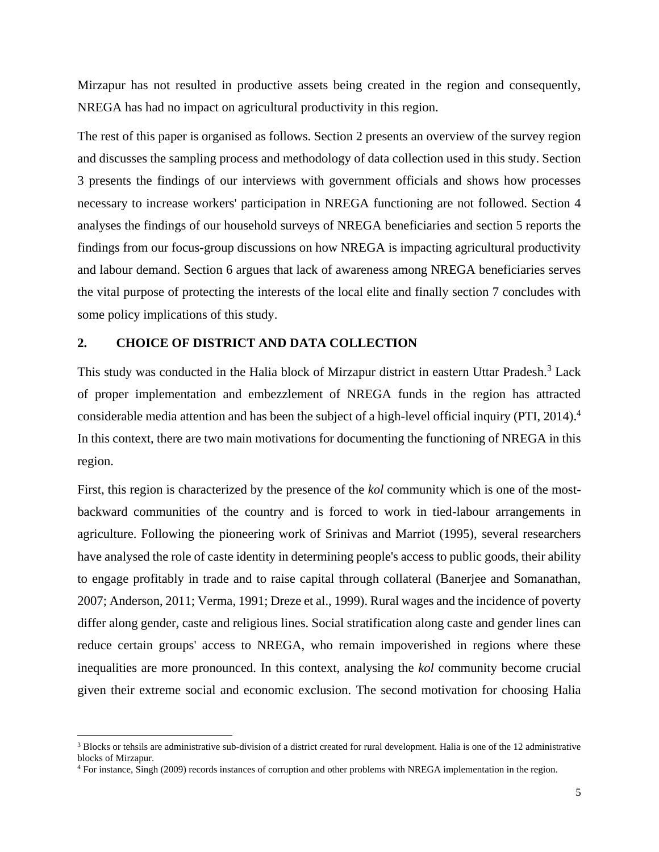Mirzapur has not resulted in productive assets being created in the region and consequently, NREGA has had no impact on agricultural productivity in this region.

The rest of this paper is organised as follows. Section 2 presents an overview of the survey region and discusses the sampling process and methodology of data collection used in this study. Section 3 presents the findings of our interviews with government officials and shows how processes necessary to increase workers' participation in NREGA functioning are not followed. Section 4 analyses the findings of our household surveys of NREGA beneficiaries and section 5 reports the findings from our focus-group discussions on how NREGA is impacting agricultural productivity and labour demand. Section 6 argues that lack of awareness among NREGA beneficiaries serves the vital purpose of protecting the interests of the local elite and finally section 7 concludes with some policy implications of this study.

# **2. CHOICE OF DISTRICT AND DATA COLLECTION**

This study was conducted in the Halia block of Mirzapur district in eastern Uttar Pradesh.<sup>3</sup> Lack of proper implementation and embezzlement of NREGA funds in the region has attracted considerable media attention and has been the subject of a high-level official inquiry (PTI, 2014).<sup>4</sup> In this context, there are two main motivations for documenting the functioning of NREGA in this region.

First, this region is characterized by the presence of the *kol* community which is one of the mostbackward communities of the country and is forced to work in tied-labour arrangements in agriculture. Following the pioneering work of Srinivas and Marriot (1995), several researchers have analysed the role of caste identity in determining people's access to public goods, their ability to engage profitably in trade and to raise capital through collateral (Banerjee and Somanathan, 2007; Anderson, 2011; Verma, 1991; Dreze et al., 1999). Rural wages and the incidence of poverty differ along gender, caste and religious lines. Social stratification along caste and gender lines can reduce certain groups' access to NREGA, who remain impoverished in regions where these inequalities are more pronounced. In this context, analysing the *kol* community become crucial given their extreme social and economic exclusion. The second motivation for choosing Halia

 $\overline{a}$ 

 $3$  Blocks or tehsils are administrative sub-division of a district created for rural development. Halia is one of the 12 administrative blocks of Mirzapur.

<sup>4</sup> For instance, Singh (2009) records instances of corruption and other problems with NREGA implementation in the region.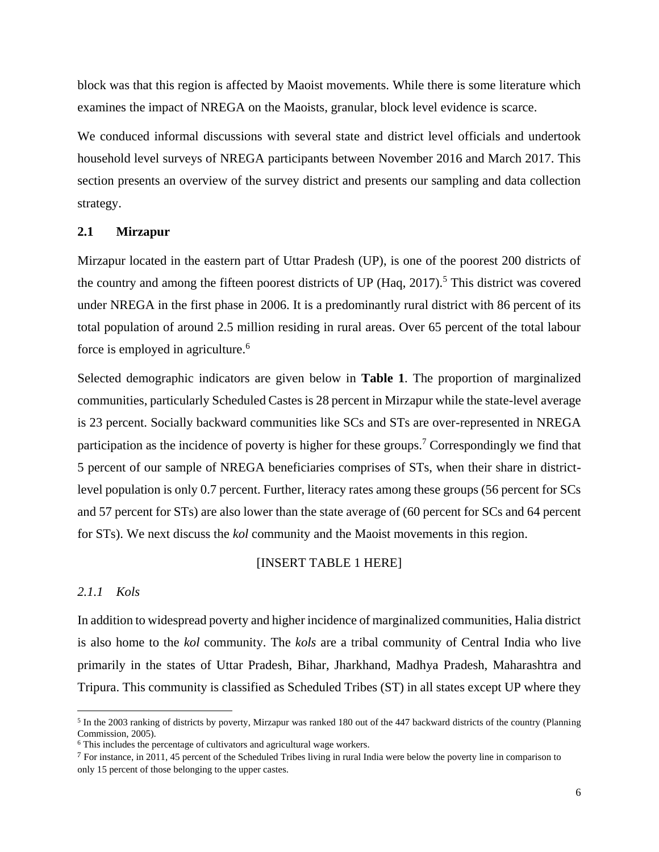block was that this region is affected by Maoist movements. While there is some literature which examines the impact of NREGA on the Maoists, granular, block level evidence is scarce.

We conduced informal discussions with several state and district level officials and undertook household level surveys of NREGA participants between November 2016 and March 2017. This section presents an overview of the survey district and presents our sampling and data collection strategy.

#### **2.1 Mirzapur**

Mirzapur located in the eastern part of Uttar Pradesh (UP), is one of the poorest 200 districts of the country and among the fifteen poorest districts of UP (Haq,  $2017$ ).<sup>5</sup> This district was covered under NREGA in the first phase in 2006. It is a predominantly rural district with 86 percent of its total population of around 2.5 million residing in rural areas. Over 65 percent of the total labour force is employed in agriculture.<sup>6</sup>

Selected demographic indicators are given below in **Table 1**. The proportion of marginalized communities, particularly Scheduled Castes is 28 percent in Mirzapur while the state-level average is 23 percent. Socially backward communities like SCs and STs are over-represented in NREGA participation as the incidence of poverty is higher for these groups.<sup>7</sup> Correspondingly we find that 5 percent of our sample of NREGA beneficiaries comprises of STs, when their share in districtlevel population is only 0.7 percent. Further, literacy rates among these groups (56 percent for SCs and 57 percent for STs) are also lower than the state average of (60 percent for SCs and 64 percent for STs). We next discuss the *kol* community and the Maoist movements in this region.

# [INSERT TABLE 1 HERE]

# *2.1.1 Kols*

 $\ddot{\phantom{a}}$ 

In addition to widespread poverty and higher incidence of marginalized communities, Halia district is also home to the *kol* community. The *kols* are a tribal community of Central India who live primarily in the states of Uttar Pradesh, Bihar, Jharkhand, Madhya Pradesh, Maharashtra and Tripura. This community is classified as Scheduled Tribes (ST) in all states except UP where they

<sup>&</sup>lt;sup>5</sup> In the 2003 ranking of districts by poverty, Mirzapur was ranked 180 out of the 447 backward districts of the country (Planning Commission, 2005).

<sup>&</sup>lt;sup>6</sup> This includes the percentage of cultivators and agricultural wage workers.

<sup>7</sup> For instance, in 2011, 45 percent of the Scheduled Tribes living in rural India were below the poverty line in comparison to only 15 percent of those belonging to the upper castes.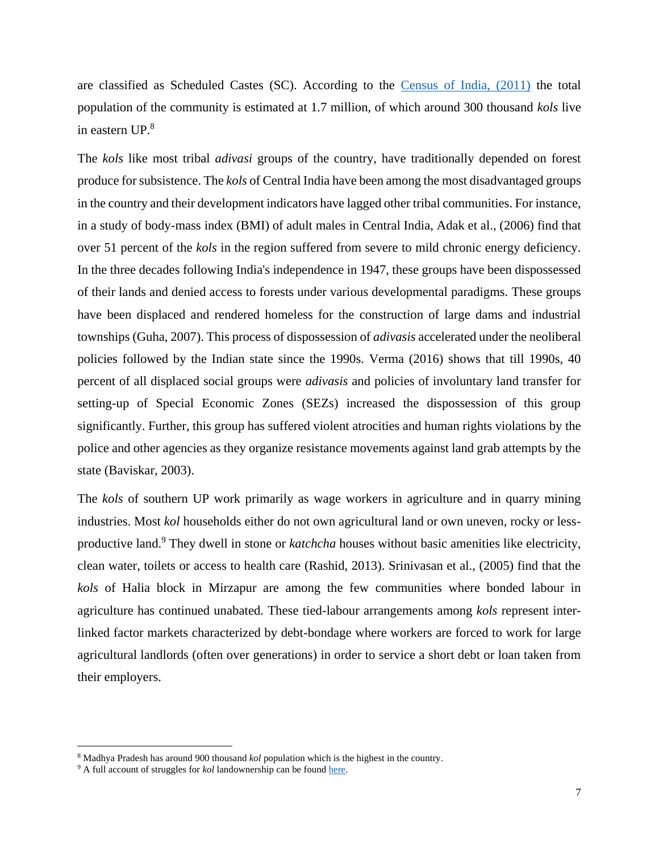are classified as Scheduled Castes (SC). According to the [Census of India, \(2011\)](http://censusindia.gov.in/Tables_Published/SCST/scst_main.html) the total population of the community is estimated at 1.7 million, of which around 300 thousand *kols* live in eastern UP.<sup>8</sup>

The *kols* like most tribal *adivasi* groups of the country, have traditionally depended on forest produce for subsistence. The *kols* of Central India have been among the most disadvantaged groups in the country and their development indicators have lagged other tribal communities. For instance, in a study of body-mass index (BMI) of adult males in Central India, Adak et al., (2006) find that over 51 percent of the *kols* in the region suffered from severe to mild chronic energy deficiency. In the three decades following India's independence in 1947, these groups have been dispossessed of their lands and denied access to forests under various developmental paradigms. These groups have been displaced and rendered homeless for the construction of large dams and industrial townships (Guha, 2007). This process of dispossession of *adivasis* accelerated under the neoliberal policies followed by the Indian state since the 1990s. Verma (2016) shows that till 1990s, 40 percent of all displaced social groups were *adivasis* and policies of involuntary land transfer for setting-up of Special Economic Zones (SEZs) increased the dispossession of this group significantly. Further, this group has suffered violent atrocities and human rights violations by the police and other agencies as they organize resistance movements against land grab attempts by the state (Baviskar, 2003).

The *kols* of southern UP work primarily as wage workers in agriculture and in quarry mining industries. Most *kol* households either do not own agricultural land or own uneven, rocky or lessproductive land.<sup>9</sup> They dwell in stone or *katchcha* houses without basic amenities like electricity, clean water, toilets or access to health care (Rashid, 2013). Srinivasan et al., (2005) find that the *kols* of Halia block in Mirzapur are among the few communities where bonded labour in agriculture has continued unabated. These tied-labour arrangements among *kols* represent interlinked factor markets characterized by debt-bondage where workers are forced to work for large agricultural landlords (often over generations) in order to service a short debt or loan taken from their employers.

 $\overline{a}$ 

<sup>8</sup> Madhya Pradesh has around 900 thousand *kol* population which is the highest in the country.

<sup>&</sup>lt;sup>9</sup> A full account of struggles for *kol* landownership can be foun[d here.](http://absss.in/land-distribution-for-kol-tribals-in-uttar-pradesh)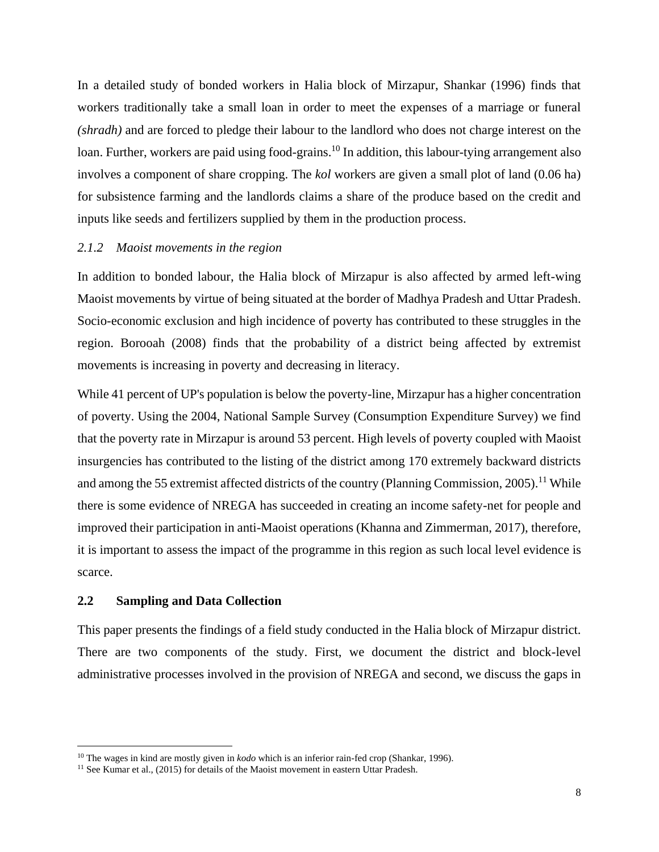In a detailed study of bonded workers in Halia block of Mirzapur, Shankar (1996) finds that workers traditionally take a small loan in order to meet the expenses of a marriage or funeral *(shradh)* and are forced to pledge their labour to the landlord who does not charge interest on the loan. Further, workers are paid using food-grains.<sup>10</sup> In addition, this labour-tying arrangement also involves a component of share cropping. The *kol* workers are given a small plot of land (0.06 ha) for subsistence farming and the landlords claims a share of the produce based on the credit and inputs like seeds and fertilizers supplied by them in the production process.

#### *2.1.2 Maoist movements in the region*

In addition to bonded labour, the Halia block of Mirzapur is also affected by armed left-wing Maoist movements by virtue of being situated at the border of Madhya Pradesh and Uttar Pradesh. Socio-economic exclusion and high incidence of poverty has contributed to these struggles in the region. Borooah (2008) finds that the probability of a district being affected by extremist movements is increasing in poverty and decreasing in literacy.

While 41 percent of UP's population is below the poverty-line, Mirzapur has a higher concentration of poverty. Using the 2004, National Sample Survey (Consumption Expenditure Survey) we find that the poverty rate in Mirzapur is around 53 percent. High levels of poverty coupled with Maoist insurgencies has contributed to the listing of the district among 170 extremely backward districts and among the 55 extremist affected districts of the country (Planning Commission, 2005).<sup>11</sup> While there is some evidence of NREGA has succeeded in creating an income safety-net for people and improved their participation in anti-Maoist operations (Khanna and Zimmerman, 2017), therefore, it is important to assess the impact of the programme in this region as such local level evidence is scarce.

#### **2.2 Sampling and Data Collection**

 $\overline{a}$ 

This paper presents the findings of a field study conducted in the Halia block of Mirzapur district. There are two components of the study. First, we document the district and block-level administrative processes involved in the provision of NREGA and second, we discuss the gaps in

<sup>10</sup> The wages in kind are mostly given in *kodo* which is an inferior rain-fed crop (Shankar, 1996).

<sup>&</sup>lt;sup>11</sup> See Kumar et al., (2015) for details of the Maoist movement in eastern Uttar Pradesh.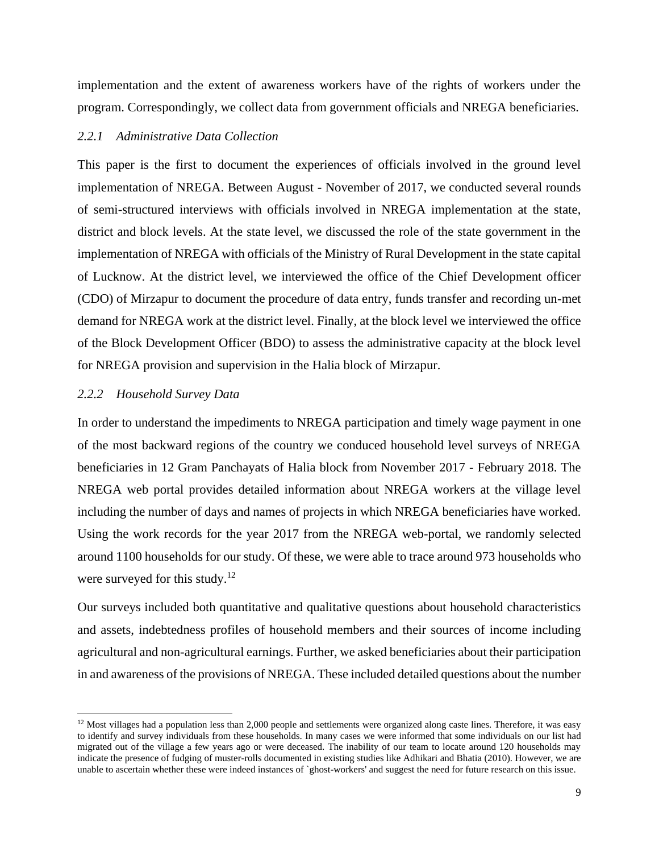implementation and the extent of awareness workers have of the rights of workers under the program. Correspondingly, we collect data from government officials and NREGA beneficiaries.

# *2.2.1 Administrative Data Collection*

This paper is the first to document the experiences of officials involved in the ground level implementation of NREGA. Between August - November of 2017, we conducted several rounds of semi-structured interviews with officials involved in NREGA implementation at the state, district and block levels. At the state level, we discussed the role of the state government in the implementation of NREGA with officials of the Ministry of Rural Development in the state capital of Lucknow. At the district level, we interviewed the office of the Chief Development officer (CDO) of Mirzapur to document the procedure of data entry, funds transfer and recording un-met demand for NREGA work at the district level. Finally, at the block level we interviewed the office of the Block Development Officer (BDO) to assess the administrative capacity at the block level for NREGA provision and supervision in the Halia block of Mirzapur.

#### *2.2.2 Household Survey Data*

 $\overline{a}$ 

In order to understand the impediments to NREGA participation and timely wage payment in one of the most backward regions of the country we conduced household level surveys of NREGA beneficiaries in 12 Gram Panchayats of Halia block from November 2017 - February 2018. The NREGA web portal provides detailed information about NREGA workers at the village level including the number of days and names of projects in which NREGA beneficiaries have worked. Using the work records for the year 2017 from the NREGA web-portal, we randomly selected around 1100 households for our study. Of these, we were able to trace around 973 households who were surveyed for this study.<sup>12</sup>

Our surveys included both quantitative and qualitative questions about household characteristics and assets, indebtedness profiles of household members and their sources of income including agricultural and non-agricultural earnings. Further, we asked beneficiaries about their participation in and awareness of the provisions of NREGA. These included detailed questions about the number

 $12$  Most villages had a population less than 2,000 people and settlements were organized along caste lines. Therefore, it was easy to identify and survey individuals from these households. In many cases we were informed that some individuals on our list had migrated out of the village a few years ago or were deceased. The inability of our team to locate around 120 households may indicate the presence of fudging of muster-rolls documented in existing studies like Adhikari and Bhatia (2010). However, we are unable to ascertain whether these were indeed instances of `ghost-workers' and suggest the need for future research on this issue.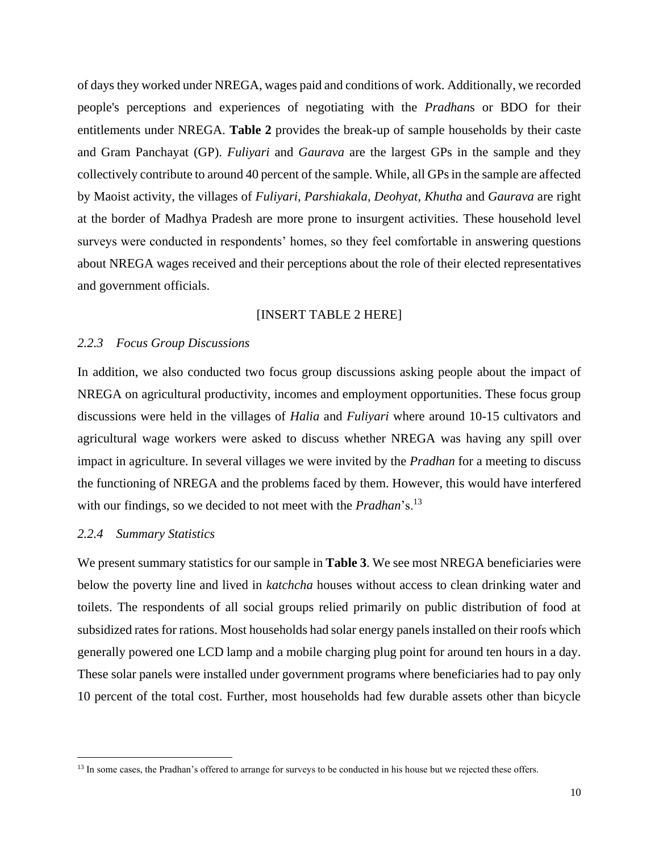of days they worked under NREGA, wages paid and conditions of work. Additionally, we recorded people's perceptions and experiences of negotiating with the *Pradhan*s or BDO for their entitlements under NREGA. **Table 2** provides the break-up of sample households by their caste and Gram Panchayat (GP). *Fuliyari* and *Gaurava* are the largest GPs in the sample and they collectively contribute to around 40 percent of the sample. While, all GPs in the sample are affected by Maoist activity, the villages of *Fuliyari, Parshiakala, Deohyat, Khutha* and *Gaurava* are right at the border of Madhya Pradesh are more prone to insurgent activities. These household level surveys were conducted in respondents' homes, so they feel comfortable in answering questions about NREGA wages received and their perceptions about the role of their elected representatives and government officials.

#### [INSERT TABLE 2 HERE]

#### *2.2.3 Focus Group Discussions*

In addition, we also conducted two focus group discussions asking people about the impact of NREGA on agricultural productivity, incomes and employment opportunities. These focus group discussions were held in the villages of *Halia* and *Fuliyari* where around 10-15 cultivators and agricultural wage workers were asked to discuss whether NREGA was having any spill over impact in agriculture. In several villages we were invited by the *Pradhan* for a meeting to discuss the functioning of NREGA and the problems faced by them. However, this would have interfered with our findings, so we decided to not meet with the *Pradhan*'s.<sup>13</sup>

#### *2.2.4 Summary Statistics*

 $\overline{a}$ 

We present summary statistics for our sample in **Table 3**. We see most NREGA beneficiaries were below the poverty line and lived in *katchcha* houses without access to clean drinking water and toilets. The respondents of all social groups relied primarily on public distribution of food at subsidized rates for rations. Most households had solar energy panels installed on their roofs which generally powered one LCD lamp and a mobile charging plug point for around ten hours in a day. These solar panels were installed under government programs where beneficiaries had to pay only 10 percent of the total cost. Further, most households had few durable assets other than bicycle

<sup>&</sup>lt;sup>13</sup> In some cases, the Pradhan's offered to arrange for surveys to be conducted in his house but we rejected these offers.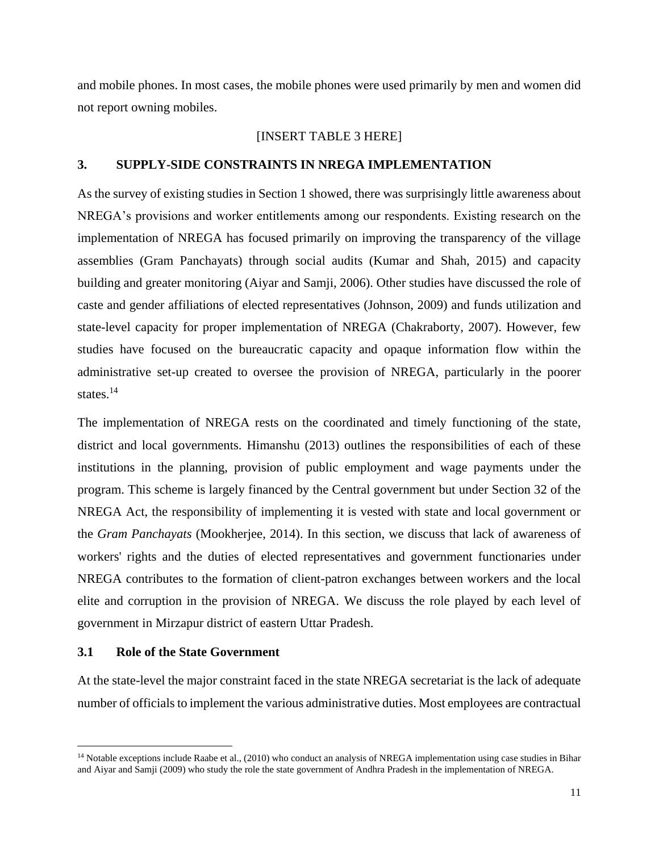and mobile phones. In most cases, the mobile phones were used primarily by men and women did not report owning mobiles.

# [INSERT TABLE 3 HERE]

# **3. SUPPLY-SIDE CONSTRAINTS IN NREGA IMPLEMENTATION**

As the survey of existing studies in Section 1 showed, there was surprisingly little awareness about NREGA's provisions and worker entitlements among our respondents. Existing research on the implementation of NREGA has focused primarily on improving the transparency of the village assemblies (Gram Panchayats) through social audits (Kumar and Shah, 2015) and capacity building and greater monitoring (Aiyar and Samji, 2006). Other studies have discussed the role of caste and gender affiliations of elected representatives (Johnson, 2009) and funds utilization and state-level capacity for proper implementation of NREGA (Chakraborty, 2007). However, few studies have focused on the bureaucratic capacity and opaque information flow within the administrative set-up created to oversee the provision of NREGA, particularly in the poorer states.<sup>14</sup>

The implementation of NREGA rests on the coordinated and timely functioning of the state, district and local governments. Himanshu (2013) outlines the responsibilities of each of these institutions in the planning, provision of public employment and wage payments under the program. This scheme is largely financed by the Central government but under Section 32 of the NREGA Act, the responsibility of implementing it is vested with state and local government or the *Gram Panchayats* (Mookherjee, 2014). In this section, we discuss that lack of awareness of workers' rights and the duties of elected representatives and government functionaries under NREGA contributes to the formation of client-patron exchanges between workers and the local elite and corruption in the provision of NREGA. We discuss the role played by each level of government in Mirzapur district of eastern Uttar Pradesh.

# **3.1 Role of the State Government**

 $\overline{a}$ 

At the state-level the major constraint faced in the state NREGA secretariat is the lack of adequate number of officials to implement the various administrative duties. Most employees are contractual

<sup>&</sup>lt;sup>14</sup> Notable exceptions include Raabe et al., (2010) who conduct an analysis of NREGA implementation using case studies in Bihar and Aiyar and Samji (2009) who study the role the state government of Andhra Pradesh in the implementation of NREGA.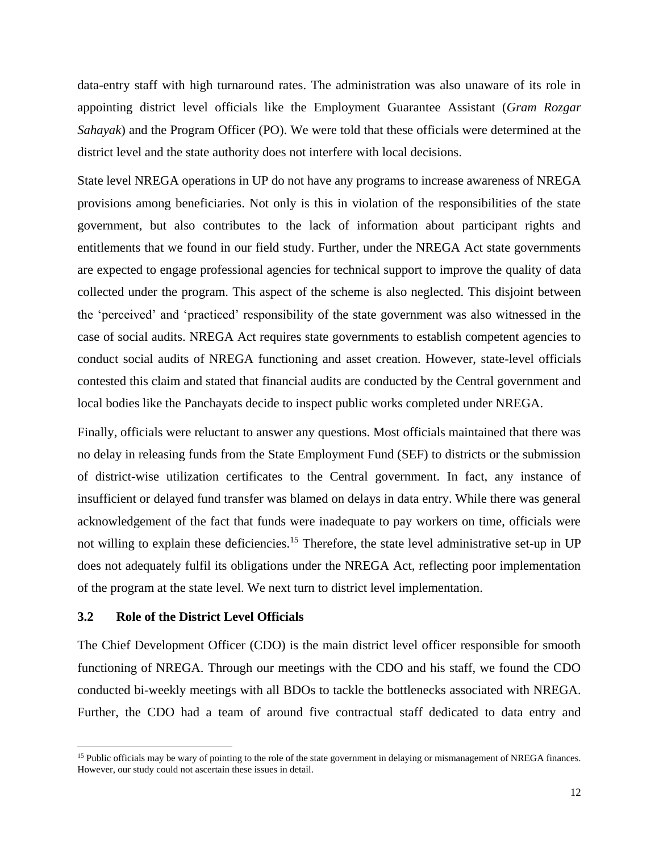data-entry staff with high turnaround rates. The administration was also unaware of its role in appointing district level officials like the Employment Guarantee Assistant (*Gram Rozgar Sahayak*) and the Program Officer (PO). We were told that these officials were determined at the district level and the state authority does not interfere with local decisions.

State level NREGA operations in UP do not have any programs to increase awareness of NREGA provisions among beneficiaries. Not only is this in violation of the responsibilities of the state government, but also contributes to the lack of information about participant rights and entitlements that we found in our field study. Further, under the NREGA Act state governments are expected to engage professional agencies for technical support to improve the quality of data collected under the program. This aspect of the scheme is also neglected. This disjoint between the 'perceived' and 'practiced' responsibility of the state government was also witnessed in the case of social audits. NREGA Act requires state governments to establish competent agencies to conduct social audits of NREGA functioning and asset creation. However, state-level officials contested this claim and stated that financial audits are conducted by the Central government and local bodies like the Panchayats decide to inspect public works completed under NREGA.

Finally, officials were reluctant to answer any questions. Most officials maintained that there was no delay in releasing funds from the State Employment Fund (SEF) to districts or the submission of district-wise utilization certificates to the Central government. In fact, any instance of insufficient or delayed fund transfer was blamed on delays in data entry. While there was general acknowledgement of the fact that funds were inadequate to pay workers on time, officials were not willing to explain these deficiencies.<sup>15</sup> Therefore, the state level administrative set-up in UP does not adequately fulfil its obligations under the NREGA Act, reflecting poor implementation of the program at the state level. We next turn to district level implementation.

#### **3.2 Role of the District Level Officials**

 $\overline{a}$ 

The Chief Development Officer (CDO) is the main district level officer responsible for smooth functioning of NREGA. Through our meetings with the CDO and his staff, we found the CDO conducted bi-weekly meetings with all BDOs to tackle the bottlenecks associated with NREGA. Further, the CDO had a team of around five contractual staff dedicated to data entry and

<sup>&</sup>lt;sup>15</sup> Public officials may be wary of pointing to the role of the state government in delaying or mismanagement of NREGA finances. However, our study could not ascertain these issues in detail.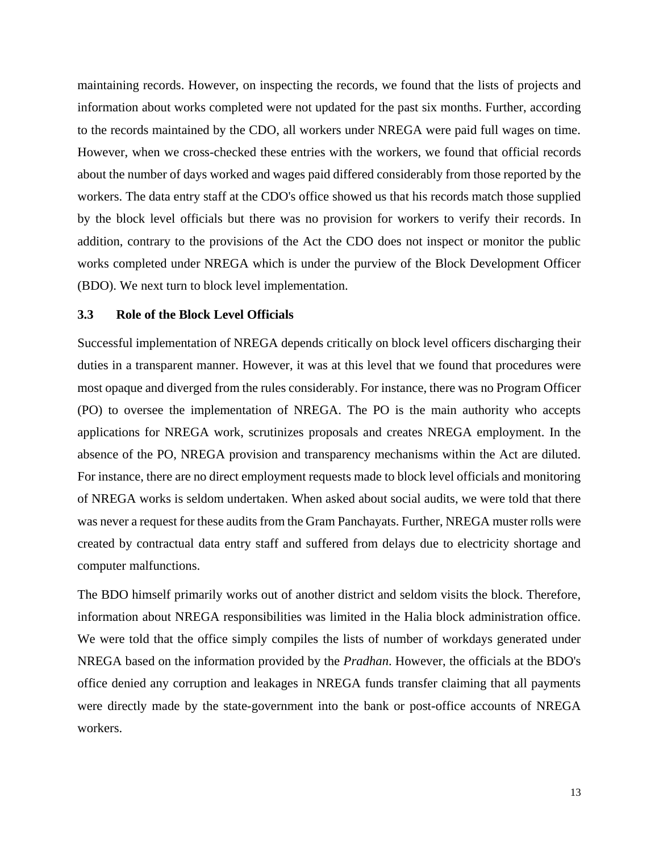maintaining records. However, on inspecting the records, we found that the lists of projects and information about works completed were not updated for the past six months. Further, according to the records maintained by the CDO, all workers under NREGA were paid full wages on time. However, when we cross-checked these entries with the workers, we found that official records about the number of days worked and wages paid differed considerably from those reported by the workers. The data entry staff at the CDO's office showed us that his records match those supplied by the block level officials but there was no provision for workers to verify their records. In addition, contrary to the provisions of the Act the CDO does not inspect or monitor the public works completed under NREGA which is under the purview of the Block Development Officer (BDO). We next turn to block level implementation.

# **3.3 Role of the Block Level Officials**

Successful implementation of NREGA depends critically on block level officers discharging their duties in a transparent manner. However, it was at this level that we found that procedures were most opaque and diverged from the rules considerably. For instance, there was no Program Officer (PO) to oversee the implementation of NREGA. The PO is the main authority who accepts applications for NREGA work, scrutinizes proposals and creates NREGA employment. In the absence of the PO, NREGA provision and transparency mechanisms within the Act are diluted. For instance, there are no direct employment requests made to block level officials and monitoring of NREGA works is seldom undertaken. When asked about social audits, we were told that there was never a request for these audits from the Gram Panchayats. Further, NREGA muster rolls were created by contractual data entry staff and suffered from delays due to electricity shortage and computer malfunctions.

The BDO himself primarily works out of another district and seldom visits the block. Therefore, information about NREGA responsibilities was limited in the Halia block administration office. We were told that the office simply compiles the lists of number of workdays generated under NREGA based on the information provided by the *Pradhan*. However, the officials at the BDO's office denied any corruption and leakages in NREGA funds transfer claiming that all payments were directly made by the state-government into the bank or post-office accounts of NREGA workers.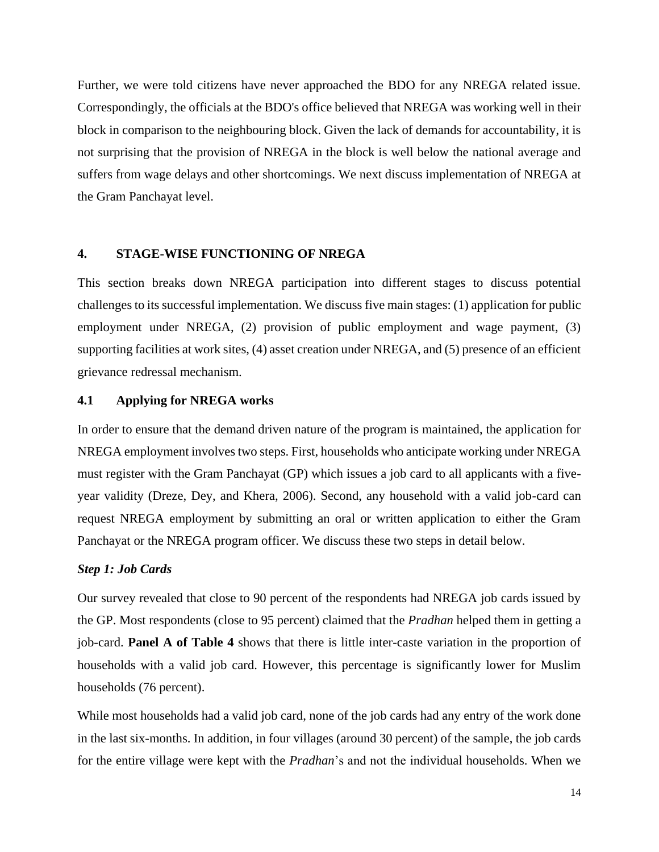Further, we were told citizens have never approached the BDO for any NREGA related issue. Correspondingly, the officials at the BDO's office believed that NREGA was working well in their block in comparison to the neighbouring block. Given the lack of demands for accountability, it is not surprising that the provision of NREGA in the block is well below the national average and suffers from wage delays and other shortcomings. We next discuss implementation of NREGA at the Gram Panchayat level.

# **4. STAGE-WISE FUNCTIONING OF NREGA**

This section breaks down NREGA participation into different stages to discuss potential challenges to its successful implementation. We discuss five main stages: (1) application for public employment under NREGA, (2) provision of public employment and wage payment, (3) supporting facilities at work sites, (4) asset creation under NREGA, and (5) presence of an efficient grievance redressal mechanism.

#### **4.1 Applying for NREGA works**

In order to ensure that the demand driven nature of the program is maintained, the application for NREGA employment involves two steps. First, households who anticipate working under NREGA must register with the Gram Panchayat (GP) which issues a job card to all applicants with a fiveyear validity (Dreze, Dey, and Khera, 2006). Second, any household with a valid job-card can request NREGA employment by submitting an oral or written application to either the Gram Panchayat or the NREGA program officer. We discuss these two steps in detail below.

# *Step 1: Job Cards*

Our survey revealed that close to 90 percent of the respondents had NREGA job cards issued by the GP. Most respondents (close to 95 percent) claimed that the *Pradhan* helped them in getting a job-card. **Panel A of Table 4** shows that there is little inter-caste variation in the proportion of households with a valid job card. However, this percentage is significantly lower for Muslim households (76 percent).

While most households had a valid job card, none of the job cards had any entry of the work done in the last six-months. In addition, in four villages (around 30 percent) of the sample, the job cards for the entire village were kept with the *Pradhan*'s and not the individual households. When we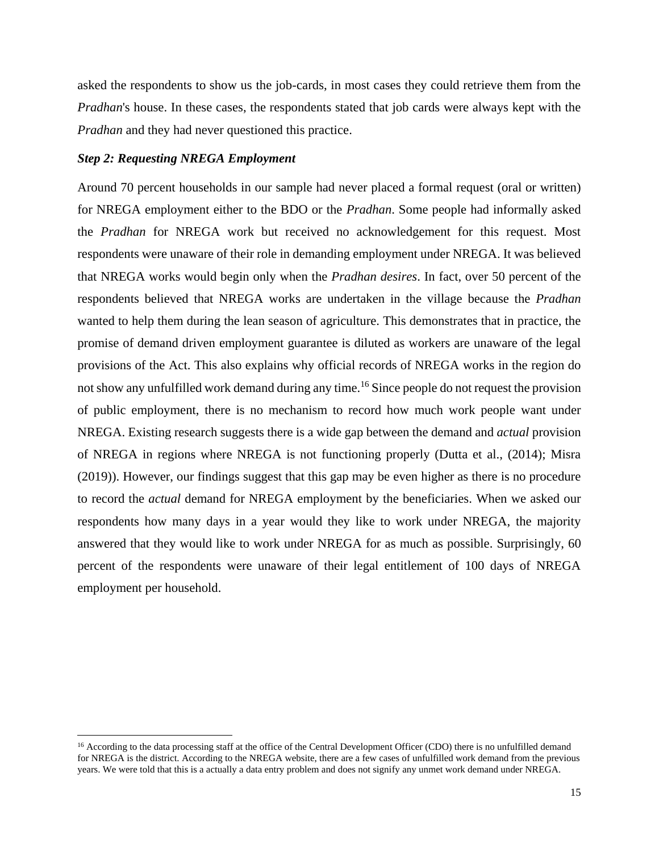asked the respondents to show us the job-cards, in most cases they could retrieve them from the *Pradhan*'s house. In these cases, the respondents stated that job cards were always kept with the *Pradhan* and they had never questioned this practice.

#### *Step 2: Requesting NREGA Employment*

 $\overline{a}$ 

Around 70 percent households in our sample had never placed a formal request (oral or written) for NREGA employment either to the BDO or the *Pradhan*. Some people had informally asked the *Pradhan* for NREGA work but received no acknowledgement for this request. Most respondents were unaware of their role in demanding employment under NREGA. It was believed that NREGA works would begin only when the *Pradhan desires*. In fact, over 50 percent of the respondents believed that NREGA works are undertaken in the village because the *Pradhan* wanted to help them during the lean season of agriculture. This demonstrates that in practice, the promise of demand driven employment guarantee is diluted as workers are unaware of the legal provisions of the Act. This also explains why official records of NREGA works in the region do not show any unfulfilled work demand during any time.<sup>16</sup> Since people do not request the provision of public employment, there is no mechanism to record how much work people want under NREGA. Existing research suggests there is a wide gap between the demand and *actual* provision of NREGA in regions where NREGA is not functioning properly (Dutta et al., (2014); Misra (2019)). However, our findings suggest that this gap may be even higher as there is no procedure to record the *actual* demand for NREGA employment by the beneficiaries. When we asked our respondents how many days in a year would they like to work under NREGA, the majority answered that they would like to work under NREGA for as much as possible. Surprisingly, 60 percent of the respondents were unaware of their legal entitlement of 100 days of NREGA employment per household.

<sup>&</sup>lt;sup>16</sup> According to the data processing staff at the office of the Central Development Officer (CDO) there is no unfulfilled demand for NREGA is the district. According to the NREGA website, there are a few cases of unfulfilled work demand from the previous years. We were told that this is a actually a data entry problem and does not signify any unmet work demand under NREGA.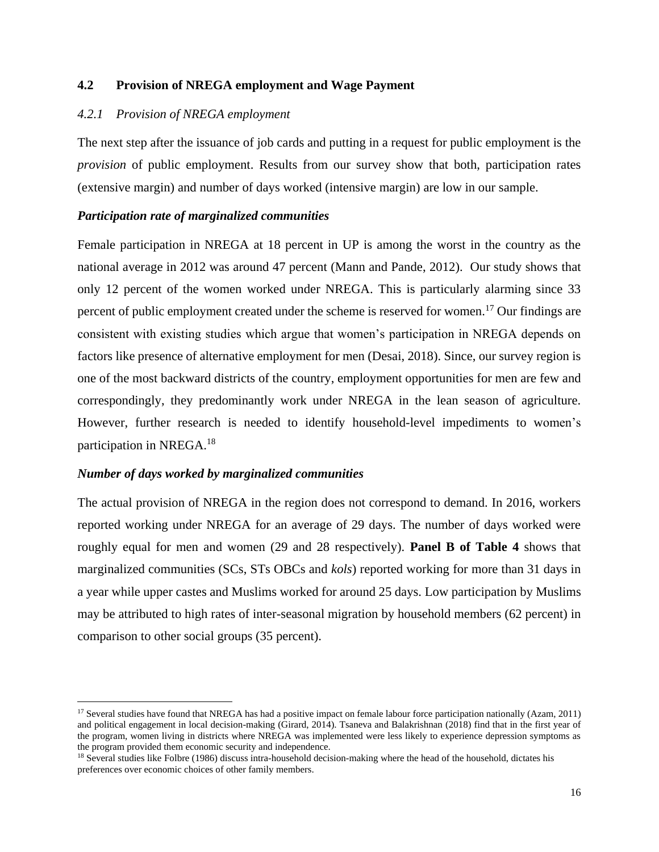# **4.2 Provision of NREGA employment and Wage Payment**

# *4.2.1 Provision of NREGA employment*

The next step after the issuance of job cards and putting in a request for public employment is the *provision* of public employment. Results from our survey show that both, participation rates (extensive margin) and number of days worked (intensive margin) are low in our sample.

# *Participation rate of marginalized communities*

Female participation in NREGA at 18 percent in UP is among the worst in the country as the national average in 2012 was around 47 percent (Mann and Pande, 2012). Our study shows that only 12 percent of the women worked under NREGA. This is particularly alarming since 33 percent of public employment created under the scheme is reserved for women.<sup>17</sup> Our findings are consistent with existing studies which argue that women's participation in NREGA depends on factors like presence of alternative employment for men (Desai, 2018). Since, our survey region is one of the most backward districts of the country, employment opportunities for men are few and correspondingly, they predominantly work under NREGA in the lean season of agriculture. However, further research is needed to identify household-level impediments to women's participation in NREGA.<sup>18</sup>

# *Number of days worked by marginalized communities*

 $\ddot{\phantom{a}}$ 

The actual provision of NREGA in the region does not correspond to demand. In 2016, workers reported working under NREGA for an average of 29 days. The number of days worked were roughly equal for men and women (29 and 28 respectively). **Panel B of Table 4** shows that marginalized communities (SCs, STs OBCs and *kols*) reported working for more than 31 days in a year while upper castes and Muslims worked for around 25 days. Low participation by Muslims may be attributed to high rates of inter-seasonal migration by household members (62 percent) in comparison to other social groups (35 percent).

<sup>17</sup> Several studies have found that NREGA has had a positive impact on female labour force participation nationally (Azam, 2011) and political engagement in local decision-making (Girard, 2014). Tsaneva and Balakrishnan (2018) find that in the first year of the program, women living in districts where NREGA was implemented were less likely to experience depression symptoms as the program provided them economic security and independence.

<sup>&</sup>lt;sup>18</sup> Several studies like Folbre (1986) discuss intra-household decision-making where the head of the household, dictates his preferences over economic choices of other family members.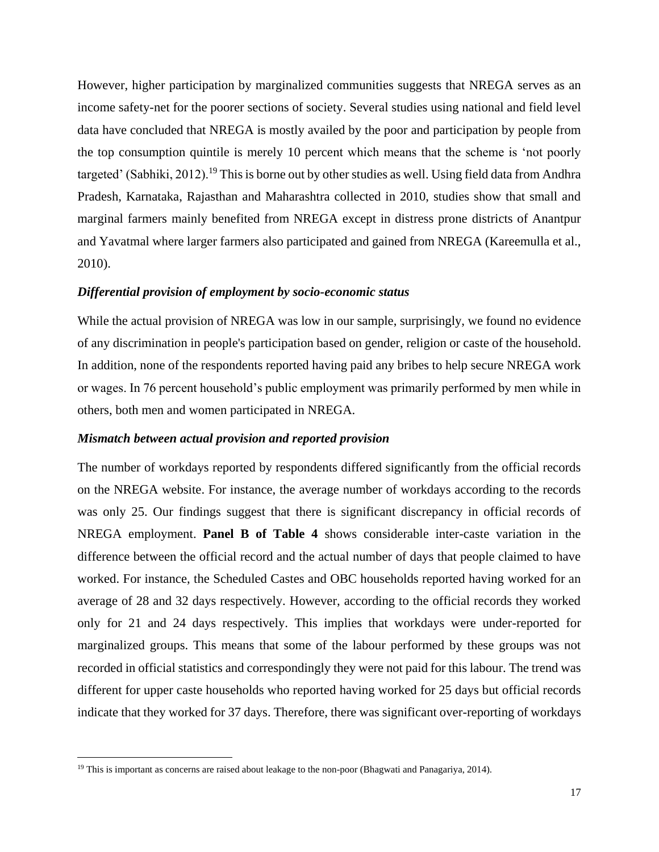However, higher participation by marginalized communities suggests that NREGA serves as an income safety-net for the poorer sections of society. Several studies using national and field level data have concluded that NREGA is mostly availed by the poor and participation by people from the top consumption quintile is merely 10 percent which means that the scheme is 'not poorly targeted' (Sabhiki, 2012).<sup>19</sup> This is borne out by other studies as well. Using field data from Andhra Pradesh, Karnataka, Rajasthan and Maharashtra collected in 2010, studies show that small and marginal farmers mainly benefited from NREGA except in distress prone districts of Anantpur and Yavatmal where larger farmers also participated and gained from NREGA (Kareemulla et al., 2010).

#### *Differential provision of employment by socio-economic status*

While the actual provision of NREGA was low in our sample, surprisingly, we found no evidence of any discrimination in people's participation based on gender, religion or caste of the household. In addition, none of the respondents reported having paid any bribes to help secure NREGA work or wages. In 76 percent household's public employment was primarily performed by men while in others, both men and women participated in NREGA.

#### *Mismatch between actual provision and reported provision*

The number of workdays reported by respondents differed significantly from the official records on the NREGA website. For instance, the average number of workdays according to the records was only 25. Our findings suggest that there is significant discrepancy in official records of NREGA employment. **Panel B of Table 4** shows considerable inter-caste variation in the difference between the official record and the actual number of days that people claimed to have worked. For instance, the Scheduled Castes and OBC households reported having worked for an average of 28 and 32 days respectively. However, according to the official records they worked only for 21 and 24 days respectively. This implies that workdays were under-reported for marginalized groups. This means that some of the labour performed by these groups was not recorded in official statistics and correspondingly they were not paid for this labour. The trend was different for upper caste households who reported having worked for 25 days but official records indicate that they worked for 37 days. Therefore, there was significant over-reporting of workdays

 $\overline{a}$ 

<sup>&</sup>lt;sup>19</sup> This is important as concerns are raised about leakage to the non-poor (Bhagwati and Panagariya, 2014).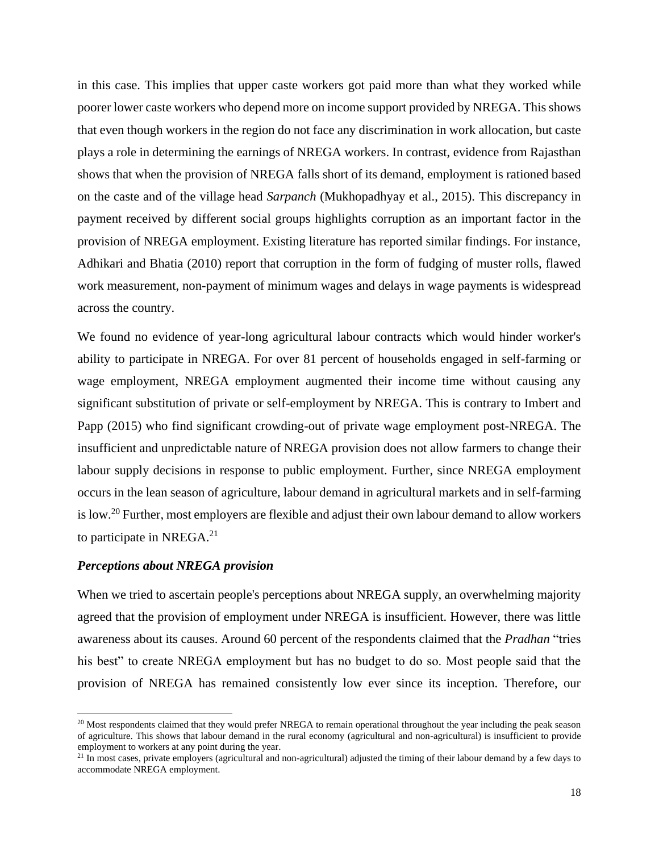in this case. This implies that upper caste workers got paid more than what they worked while poorer lower caste workers who depend more on income support provided by NREGA. This shows that even though workers in the region do not face any discrimination in work allocation, but caste plays a role in determining the earnings of NREGA workers. In contrast, evidence from Rajasthan shows that when the provision of NREGA falls short of its demand, employment is rationed based on the caste and of the village head *Sarpanch* (Mukhopadhyay et al., 2015). This discrepancy in payment received by different social groups highlights corruption as an important factor in the provision of NREGA employment. Existing literature has reported similar findings. For instance, Adhikari and Bhatia (2010) report that corruption in the form of fudging of muster rolls, flawed work measurement, non-payment of minimum wages and delays in wage payments is widespread across the country.

We found no evidence of year-long agricultural labour contracts which would hinder worker's ability to participate in NREGA. For over 81 percent of households engaged in self-farming or wage employment, NREGA employment augmented their income time without causing any significant substitution of private or self-employment by NREGA. This is contrary to Imbert and Papp (2015) who find significant crowding-out of private wage employment post-NREGA. The insufficient and unpredictable nature of NREGA provision does not allow farmers to change their labour supply decisions in response to public employment. Further, since NREGA employment occurs in the lean season of agriculture, labour demand in agricultural markets and in self-farming is low.<sup>20</sup> Further, most employers are flexible and adjust their own labour demand to allow workers to participate in NREGA.<sup>21</sup>

#### *Perceptions about NREGA provision*

 $\overline{a}$ 

When we tried to ascertain people's perceptions about NREGA supply, an overwhelming majority agreed that the provision of employment under NREGA is insufficient. However, there was little awareness about its causes. Around 60 percent of the respondents claimed that the *Pradhan* "tries his best" to create NREGA employment but has no budget to do so. Most people said that the provision of NREGA has remained consistently low ever since its inception. Therefore, our

 $20$  Most respondents claimed that they would prefer NREGA to remain operational throughout the year including the peak season of agriculture. This shows that labour demand in the rural economy (agricultural and non-agricultural) is insufficient to provide employment to workers at any point during the year.

 $21$  In most cases, private employers (agricultural and non-agricultural) adjusted the timing of their labour demand by a few days to accommodate NREGA employment.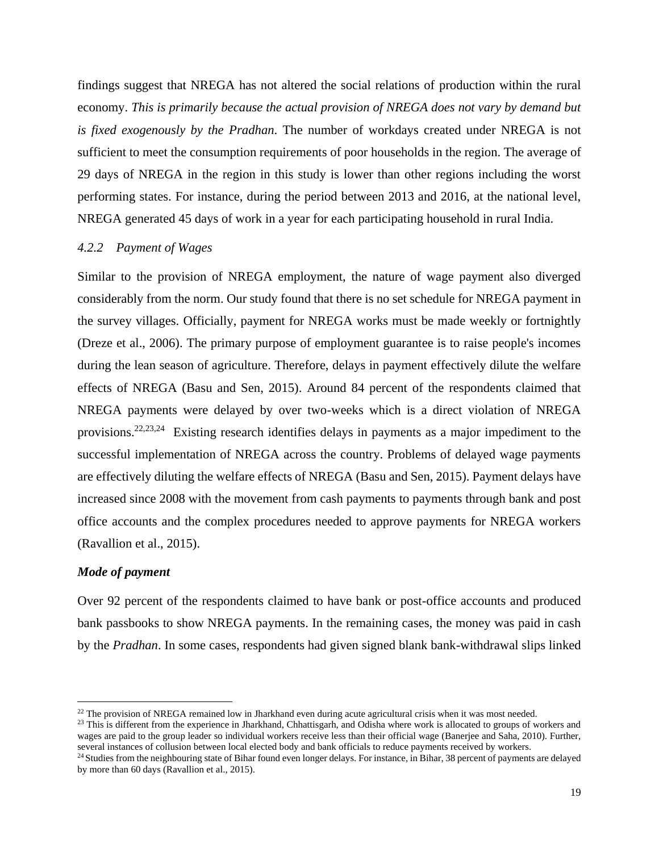findings suggest that NREGA has not altered the social relations of production within the rural economy. *This is primarily because the actual provision of NREGA does not vary by demand but is fixed exogenously by the Pradhan*. The number of workdays created under NREGA is not sufficient to meet the consumption requirements of poor households in the region. The average of 29 days of NREGA in the region in this study is lower than other regions including the worst performing states. For instance, during the period between 2013 and 2016, at the national level, NREGA generated 45 days of work in a year for each participating household in rural India.

#### *4.2.2 Payment of Wages*

Similar to the provision of NREGA employment, the nature of wage payment also diverged considerably from the norm. Our study found that there is no set schedule for NREGA payment in the survey villages. Officially, payment for NREGA works must be made weekly or fortnightly (Dreze et al., 2006). The primary purpose of employment guarantee is to raise people's incomes during the lean season of agriculture. Therefore, delays in payment effectively dilute the welfare effects of NREGA (Basu and Sen, 2015). Around 84 percent of the respondents claimed that NREGA payments were delayed by over two-weeks which is a direct violation of NREGA provisions.<sup>22,23,24</sup> Existing research identifies delays in payments as a major impediment to the successful implementation of NREGA across the country. Problems of delayed wage payments are effectively diluting the welfare effects of NREGA (Basu and Sen, 2015). Payment delays have increased since 2008 with the movement from cash payments to payments through bank and post office accounts and the complex procedures needed to approve payments for NREGA workers (Ravallion et al., 2015).

#### *Mode of payment*

 $\ddot{\phantom{a}}$ 

Over 92 percent of the respondents claimed to have bank or post-office accounts and produced bank passbooks to show NREGA payments. In the remaining cases, the money was paid in cash by the *Pradhan*. In some cases, respondents had given signed blank bank-withdrawal slips linked

 $^{22}$  The provision of NREGA remained low in Jharkhand even during acute agricultural crisis when it was most needed.

 $^{23}$  This is different from the experience in Jharkhand, Chhattisgarh, and Odisha where work is allocated to groups of workers and wages are paid to the group leader so individual workers receive less than their official wage (Banerjee and Saha, 2010). Further, several instances of collusion between local elected body and bank officials to reduce payments received by workers.

<sup>&</sup>lt;sup>24</sup> Studies from the neighbouring state of Bihar found even longer delays. For instance, in Bihar, 38 percent of payments are delayed by more than 60 days (Ravallion et al., 2015).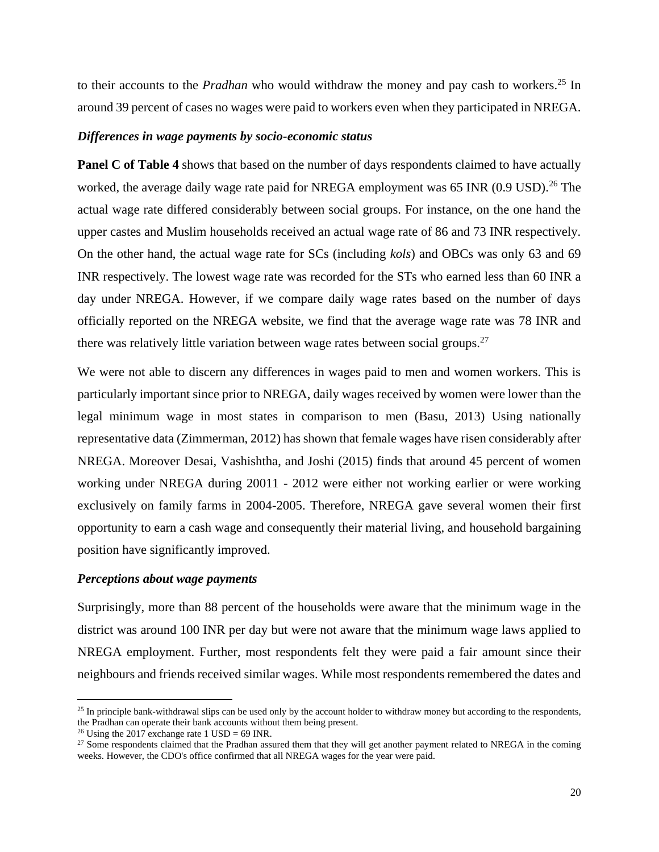to their accounts to the *Pradhan* who would withdraw the money and pay cash to workers.<sup>25</sup> In around 39 percent of cases no wages were paid to workers even when they participated in NREGA.

#### *Differences in wage payments by socio-economic status*

**Panel C of Table 4** shows that based on the number of days respondents claimed to have actually worked, the average daily wage rate paid for NREGA employment was 65 INR  $(0.9 \text{ USD})$ .<sup>26</sup> The actual wage rate differed considerably between social groups. For instance, on the one hand the upper castes and Muslim households received an actual wage rate of 86 and 73 INR respectively. On the other hand, the actual wage rate for SCs (including *kols*) and OBCs was only 63 and 69 INR respectively. The lowest wage rate was recorded for the STs who earned less than 60 INR a day under NREGA. However, if we compare daily wage rates based on the number of days officially reported on the NREGA website, we find that the average wage rate was 78 INR and there was relatively little variation between wage rates between social groups.<sup>27</sup>

We were not able to discern any differences in wages paid to men and women workers. This is particularly important since prior to NREGA, daily wages received by women were lower than the legal minimum wage in most states in comparison to men (Basu, 2013) Using nationally representative data (Zimmerman, 2012) has shown that female wages have risen considerably after NREGA. Moreover Desai, Vashishtha, and Joshi (2015) finds that around 45 percent of women working under NREGA during 20011 - 2012 were either not working earlier or were working exclusively on family farms in 2004-2005. Therefore, NREGA gave several women their first opportunity to earn a cash wage and consequently their material living, and household bargaining position have significantly improved.

# *Perceptions about wage payments*

Surprisingly, more than 88 percent of the households were aware that the minimum wage in the district was around 100 INR per day but were not aware that the minimum wage laws applied to NREGA employment. Further, most respondents felt they were paid a fair amount since their neighbours and friends received similar wages. While most respondents remembered the dates and

 $\overline{a}$ 

<sup>&</sup>lt;sup>25</sup> In principle bank-withdrawal slips can be used only by the account holder to withdraw money but according to the respondents, the Pradhan can operate their bank accounts without them being present.

<sup>&</sup>lt;sup>26</sup> Using the 2017 exchange rate 1 USD = 69 INR.

<sup>&</sup>lt;sup>27</sup> Some respondents claimed that the Pradhan assured them that they will get another payment related to NREGA in the coming weeks. However, the CDO's office confirmed that all NREGA wages for the year were paid.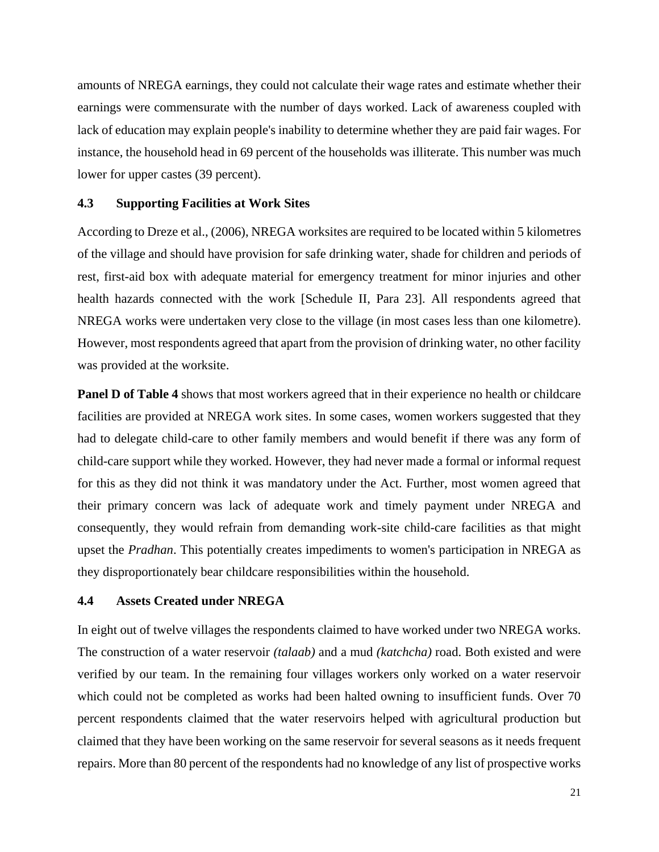amounts of NREGA earnings, they could not calculate their wage rates and estimate whether their earnings were commensurate with the number of days worked. Lack of awareness coupled with lack of education may explain people's inability to determine whether they are paid fair wages. For instance, the household head in 69 percent of the households was illiterate. This number was much lower for upper castes (39 percent).

# **4.3 Supporting Facilities at Work Sites**

According to Dreze et al., (2006), NREGA worksites are required to be located within 5 kilometres of the village and should have provision for safe drinking water, shade for children and periods of rest, first-aid box with adequate material for emergency treatment for minor injuries and other health hazards connected with the work [Schedule II, Para 23]. All respondents agreed that NREGA works were undertaken very close to the village (in most cases less than one kilometre). However, most respondents agreed that apart from the provision of drinking water, no other facility was provided at the worksite.

**Panel D of Table 4** shows that most workers agreed that in their experience no health or childcare facilities are provided at NREGA work sites. In some cases, women workers suggested that they had to delegate child-care to other family members and would benefit if there was any form of child-care support while they worked. However, they had never made a formal or informal request for this as they did not think it was mandatory under the Act. Further, most women agreed that their primary concern was lack of adequate work and timely payment under NREGA and consequently, they would refrain from demanding work-site child-care facilities as that might upset the *Pradhan*. This potentially creates impediments to women's participation in NREGA as they disproportionately bear childcare responsibilities within the household.

# **4.4 Assets Created under NREGA**

In eight out of twelve villages the respondents claimed to have worked under two NREGA works. The construction of a water reservoir *(talaab)* and a mud *(katchcha)* road. Both existed and were verified by our team. In the remaining four villages workers only worked on a water reservoir which could not be completed as works had been halted owning to insufficient funds. Over 70 percent respondents claimed that the water reservoirs helped with agricultural production but claimed that they have been working on the same reservoir for several seasons as it needs frequent repairs. More than 80 percent of the respondents had no knowledge of any list of prospective works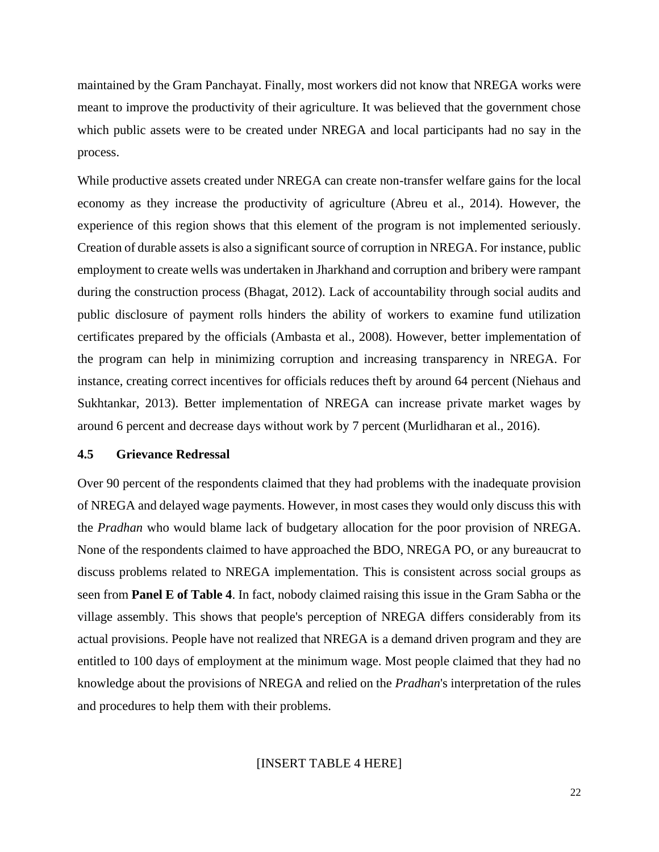maintained by the Gram Panchayat. Finally, most workers did not know that NREGA works were meant to improve the productivity of their agriculture. It was believed that the government chose which public assets were to be created under NREGA and local participants had no say in the process.

While productive assets created under NREGA can create non-transfer welfare gains for the local economy as they increase the productivity of agriculture (Abreu et al., 2014). However, the experience of this region shows that this element of the program is not implemented seriously. Creation of durable assets is also a significant source of corruption in NREGA. For instance, public employment to create wells was undertaken in Jharkhand and corruption and bribery were rampant during the construction process (Bhagat, 2012). Lack of accountability through social audits and public disclosure of payment rolls hinders the ability of workers to examine fund utilization certificates prepared by the officials (Ambasta et al., 2008). However, better implementation of the program can help in minimizing corruption and increasing transparency in NREGA. For instance, creating correct incentives for officials reduces theft by around 64 percent (Niehaus and Sukhtankar, 2013). Better implementation of NREGA can increase private market wages by around 6 percent and decrease days without work by 7 percent (Murlidharan et al., 2016).

#### **4.5 Grievance Redressal**

Over 90 percent of the respondents claimed that they had problems with the inadequate provision of NREGA and delayed wage payments. However, in most cases they would only discuss this with the *Pradhan* who would blame lack of budgetary allocation for the poor provision of NREGA. None of the respondents claimed to have approached the BDO, NREGA PO, or any bureaucrat to discuss problems related to NREGA implementation. This is consistent across social groups as seen from **Panel E of Table 4**. In fact, nobody claimed raising this issue in the Gram Sabha or the village assembly. This shows that people's perception of NREGA differs considerably from its actual provisions. People have not realized that NREGA is a demand driven program and they are entitled to 100 days of employment at the minimum wage. Most people claimed that they had no knowledge about the provisions of NREGA and relied on the *Pradhan*'s interpretation of the rules and procedures to help them with their problems.

[INSERT TABLE 4 HERE]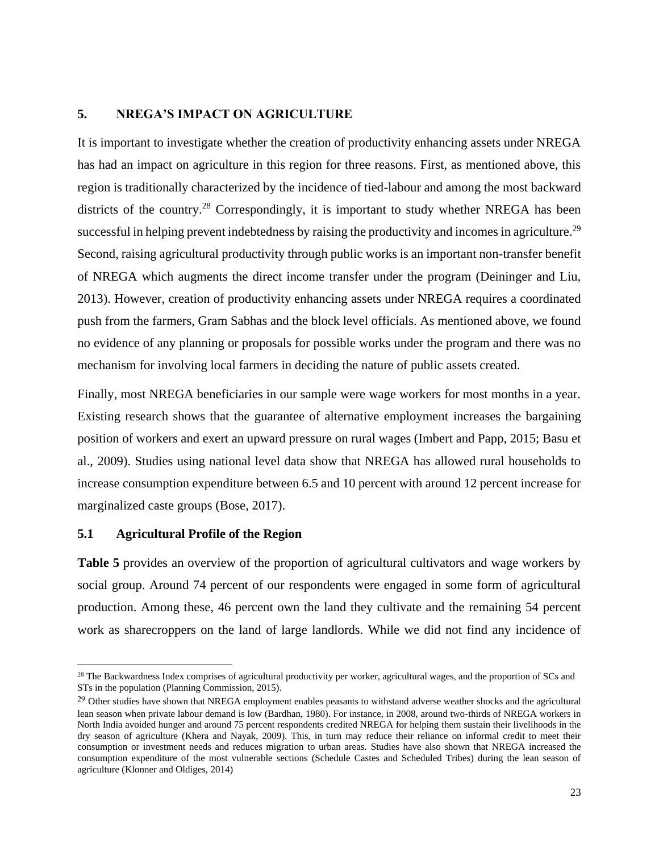# **5. NREGA'S IMPACT ON AGRICULTURE**

It is important to investigate whether the creation of productivity enhancing assets under NREGA has had an impact on agriculture in this region for three reasons. First, as mentioned above, this region is traditionally characterized by the incidence of tied-labour and among the most backward districts of the country.<sup>28</sup> Correspondingly, it is important to study whether NREGA has been successful in helping prevent indebtedness by raising the productivity and incomes in agriculture.<sup>29</sup> Second, raising agricultural productivity through public works is an important non-transfer benefit of NREGA which augments the direct income transfer under the program (Deininger and Liu, 2013). However, creation of productivity enhancing assets under NREGA requires a coordinated push from the farmers, Gram Sabhas and the block level officials. As mentioned above, we found no evidence of any planning or proposals for possible works under the program and there was no mechanism for involving local farmers in deciding the nature of public assets created.

Finally, most NREGA beneficiaries in our sample were wage workers for most months in a year. Existing research shows that the guarantee of alternative employment increases the bargaining position of workers and exert an upward pressure on rural wages (Imbert and Papp, 2015; Basu et al., 2009). Studies using national level data show that NREGA has allowed rural households to increase consumption expenditure between 6.5 and 10 percent with around 12 percent increase for marginalized caste groups (Bose, 2017).

# **5.1 Agricultural Profile of the Region**

 $\overline{a}$ 

**Table 5** provides an overview of the proportion of agricultural cultivators and wage workers by social group. Around 74 percent of our respondents were engaged in some form of agricultural production. Among these, 46 percent own the land they cultivate and the remaining 54 percent work as sharecroppers on the land of large landlords. While we did not find any incidence of

<sup>&</sup>lt;sup>28</sup> The Backwardness Index comprises of agricultural productivity per worker, agricultural wages, and the proportion of SCs and STs in the population (Planning Commission, 2015).

<sup>&</sup>lt;sup>29</sup> Other studies have shown that NREGA employment enables peasants to withstand adverse weather shocks and the agricultural lean season when private labour demand is low (Bardhan, 1980). For instance, in 2008, around two-thirds of NREGA workers in North India avoided hunger and around 75 percent respondents credited NREGA for helping them sustain their livelihoods in the dry season of agriculture (Khera and Nayak, 2009). This, in turn may reduce their reliance on informal credit to meet their consumption or investment needs and reduces migration to urban areas. Studies have also shown that NREGA increased the consumption expenditure of the most vulnerable sections (Schedule Castes and Scheduled Tribes) during the lean season of agriculture (Klonner and Oldiges, 2014)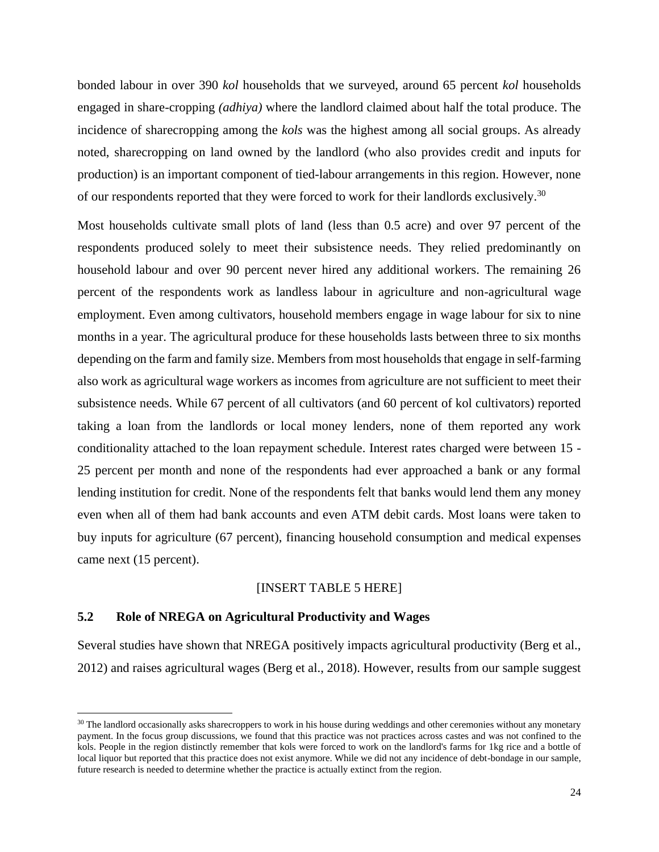bonded labour in over 390 *kol* households that we surveyed, around 65 percent *kol* households engaged in share-cropping *(adhiya)* where the landlord claimed about half the total produce. The incidence of sharecropping among the *kols* was the highest among all social groups. As already noted, sharecropping on land owned by the landlord (who also provides credit and inputs for production) is an important component of tied-labour arrangements in this region. However, none of our respondents reported that they were forced to work for their landlords exclusively.<sup>30</sup>

Most households cultivate small plots of land (less than 0.5 acre) and over 97 percent of the respondents produced solely to meet their subsistence needs. They relied predominantly on household labour and over 90 percent never hired any additional workers. The remaining 26 percent of the respondents work as landless labour in agriculture and non-agricultural wage employment. Even among cultivators, household members engage in wage labour for six to nine months in a year. The agricultural produce for these households lasts between three to six months depending on the farm and family size. Members from most households that engage in self-farming also work as agricultural wage workers as incomes from agriculture are not sufficient to meet their subsistence needs. While 67 percent of all cultivators (and 60 percent of kol cultivators) reported taking a loan from the landlords or local money lenders, none of them reported any work conditionality attached to the loan repayment schedule. Interest rates charged were between 15 - 25 percent per month and none of the respondents had ever approached a bank or any formal lending institution for credit. None of the respondents felt that banks would lend them any money even when all of them had bank accounts and even ATM debit cards. Most loans were taken to buy inputs for agriculture (67 percent), financing household consumption and medical expenses came next (15 percent).

#### [INSERT TABLE 5 HERE]

# **5.2 Role of NREGA on Agricultural Productivity and Wages**

 $\overline{a}$ 

Several studies have shown that NREGA positively impacts agricultural productivity (Berg et al., 2012) and raises agricultural wages (Berg et al., 2018). However, results from our sample suggest

<sup>&</sup>lt;sup>30</sup> The landlord occasionally asks sharecroppers to work in his house during weddings and other ceremonies without any monetary payment. In the focus group discussions, we found that this practice was not practices across castes and was not confined to the kols. People in the region distinctly remember that kols were forced to work on the landlord's farms for 1kg rice and a bottle of local liquor but reported that this practice does not exist anymore. While we did not any incidence of debt-bondage in our sample, future research is needed to determine whether the practice is actually extinct from the region.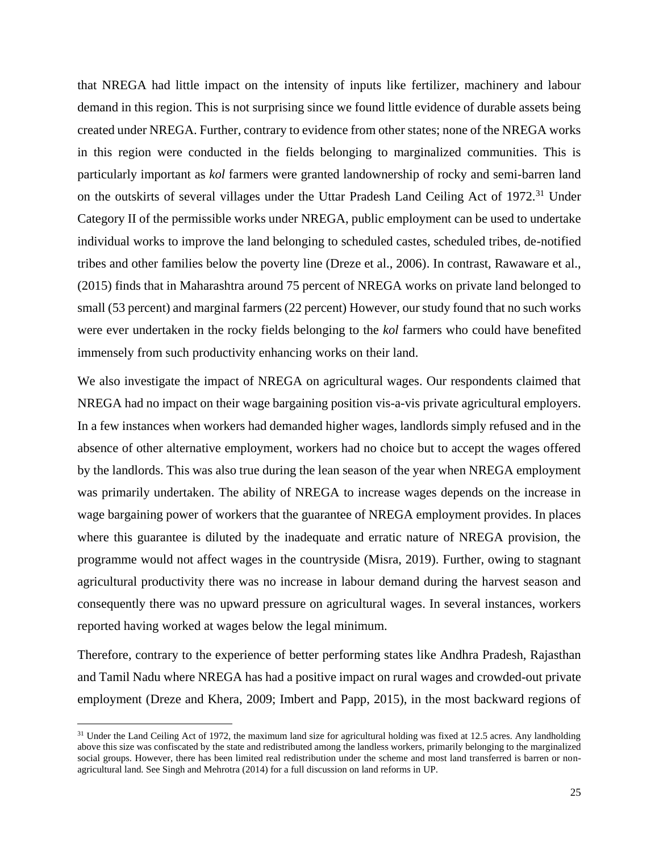that NREGA had little impact on the intensity of inputs like fertilizer, machinery and labour demand in this region. This is not surprising since we found little evidence of durable assets being created under NREGA. Further, contrary to evidence from other states; none of the NREGA works in this region were conducted in the fields belonging to marginalized communities. This is particularly important as *kol* farmers were granted landownership of rocky and semi-barren land on the outskirts of several villages under the Uttar Pradesh Land Ceiling Act of 1972.<sup>31</sup> Under Category II of the permissible works under NREGA, public employment can be used to undertake individual works to improve the land belonging to scheduled castes, scheduled tribes, de-notified tribes and other families below the poverty line (Dreze et al., 2006). In contrast, Rawaware et al., (2015) finds that in Maharashtra around 75 percent of NREGA works on private land belonged to small (53 percent) and marginal farmers (22 percent) However, our study found that no such works were ever undertaken in the rocky fields belonging to the *kol* farmers who could have benefited immensely from such productivity enhancing works on their land.

We also investigate the impact of NREGA on agricultural wages. Our respondents claimed that NREGA had no impact on their wage bargaining position vis-a-vis private agricultural employers. In a few instances when workers had demanded higher wages, landlords simply refused and in the absence of other alternative employment, workers had no choice but to accept the wages offered by the landlords. This was also true during the lean season of the year when NREGA employment was primarily undertaken. The ability of NREGA to increase wages depends on the increase in wage bargaining power of workers that the guarantee of NREGA employment provides. In places where this guarantee is diluted by the inadequate and erratic nature of NREGA provision, the programme would not affect wages in the countryside (Misra, 2019). Further, owing to stagnant agricultural productivity there was no increase in labour demand during the harvest season and consequently there was no upward pressure on agricultural wages. In several instances, workers reported having worked at wages below the legal minimum.

Therefore, contrary to the experience of better performing states like Andhra Pradesh, Rajasthan and Tamil Nadu where NREGA has had a positive impact on rural wages and crowded-out private employment (Dreze and Khera, 2009; Imbert and Papp, 2015), in the most backward regions of

 $\overline{a}$ 

 $31$  Under the Land Ceiling Act of 1972, the maximum land size for agricultural holding was fixed at 12.5 acres. Any landholding above this size was confiscated by the state and redistributed among the landless workers, primarily belonging to the marginalized social groups. However, there has been limited real redistribution under the scheme and most land transferred is barren or nonagricultural land. See Singh and Mehrotra (2014) for a full discussion on land reforms in UP.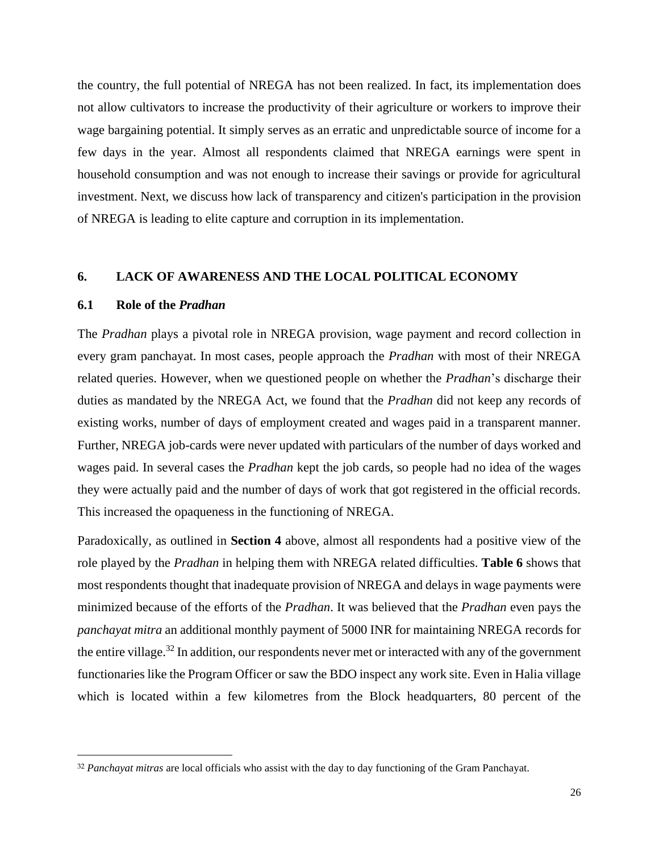the country, the full potential of NREGA has not been realized. In fact, its implementation does not allow cultivators to increase the productivity of their agriculture or workers to improve their wage bargaining potential. It simply serves as an erratic and unpredictable source of income for a few days in the year. Almost all respondents claimed that NREGA earnings were spent in household consumption and was not enough to increase their savings or provide for agricultural investment. Next, we discuss how lack of transparency and citizen's participation in the provision of NREGA is leading to elite capture and corruption in its implementation.

#### **6. LACK OF AWARENESS AND THE LOCAL POLITICAL ECONOMY**

#### **6.1 Role of the** *Pradhan*

 $\overline{a}$ 

The *Pradhan* plays a pivotal role in NREGA provision, wage payment and record collection in every gram panchayat. In most cases, people approach the *Pradhan* with most of their NREGA related queries. However, when we questioned people on whether the *Pradhan*'s discharge their duties as mandated by the NREGA Act, we found that the *Pradhan* did not keep any records of existing works, number of days of employment created and wages paid in a transparent manner. Further, NREGA job-cards were never updated with particulars of the number of days worked and wages paid. In several cases the *Pradhan* kept the job cards, so people had no idea of the wages they were actually paid and the number of days of work that got registered in the official records. This increased the opaqueness in the functioning of NREGA.

Paradoxically, as outlined in **Section 4** above, almost all respondents had a positive view of the role played by the *Pradhan* in helping them with NREGA related difficulties. **Table 6** shows that most respondents thought that inadequate provision of NREGA and delays in wage payments were minimized because of the efforts of the *Pradhan*. It was believed that the *Pradhan* even pays the *panchayat mitra* an additional monthly payment of 5000 INR for maintaining NREGA records for the entire village.<sup>32</sup> In addition, our respondents never met or interacted with any of the government functionaries like the Program Officer or saw the BDO inspect any work site. Even in Halia village which is located within a few kilometres from the Block headquarters, 80 percent of the

<sup>32</sup> *Panchayat mitras* are local officials who assist with the day to day functioning of the Gram Panchayat.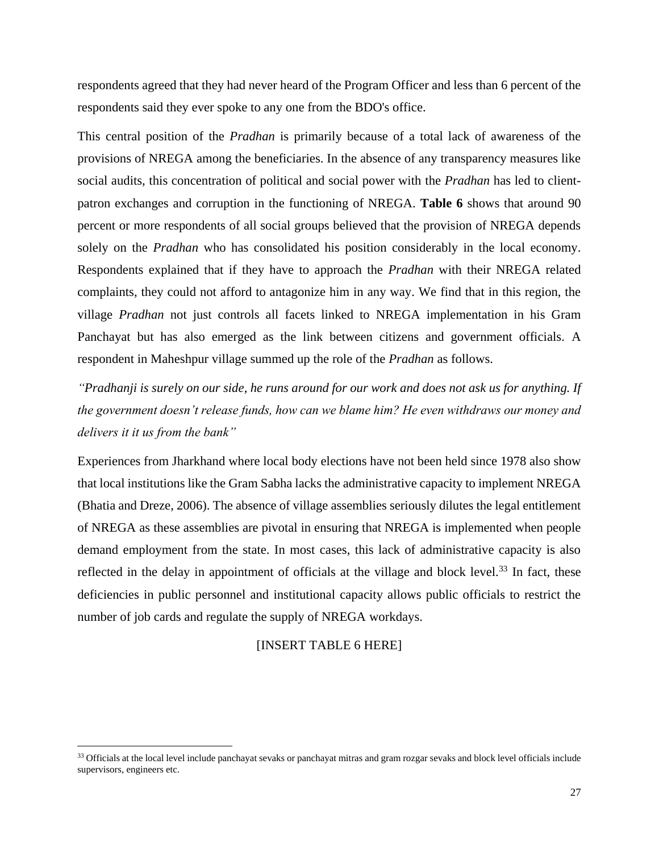respondents agreed that they had never heard of the Program Officer and less than 6 percent of the respondents said they ever spoke to any one from the BDO's office.

This central position of the *Pradhan* is primarily because of a total lack of awareness of the provisions of NREGA among the beneficiaries. In the absence of any transparency measures like social audits, this concentration of political and social power with the *Pradhan* has led to clientpatron exchanges and corruption in the functioning of NREGA. **Table 6** shows that around 90 percent or more respondents of all social groups believed that the provision of NREGA depends solely on the *Pradhan* who has consolidated his position considerably in the local economy. Respondents explained that if they have to approach the *Pradhan* with their NREGA related complaints, they could not afford to antagonize him in any way. We find that in this region, the village *Pradhan* not just controls all facets linked to NREGA implementation in his Gram Panchayat but has also emerged as the link between citizens and government officials. A respondent in Maheshpur village summed up the role of the *Pradhan* as follows.

*"Pradhanji is surely on our side, he runs around for our work and does not ask us for anything. If the government doesn't release funds, how can we blame him? He even withdraws our money and delivers it it us from the bank"*

Experiences from Jharkhand where local body elections have not been held since 1978 also show that local institutions like the Gram Sabha lacks the administrative capacity to implement NREGA (Bhatia and Dreze, 2006). The absence of village assemblies seriously dilutes the legal entitlement of NREGA as these assemblies are pivotal in ensuring that NREGA is implemented when people demand employment from the state. In most cases, this lack of administrative capacity is also reflected in the delay in appointment of officials at the village and block level. $33$  In fact, these deficiencies in public personnel and institutional capacity allows public officials to restrict the number of job cards and regulate the supply of NREGA workdays.

[INSERT TABLE 6 HERE]

 $\overline{a}$ 

<sup>&</sup>lt;sup>33</sup> Officials at the local level include panchayat sevaks or panchayat mitras and gram rozgar sevaks and block level officials include supervisors, engineers etc.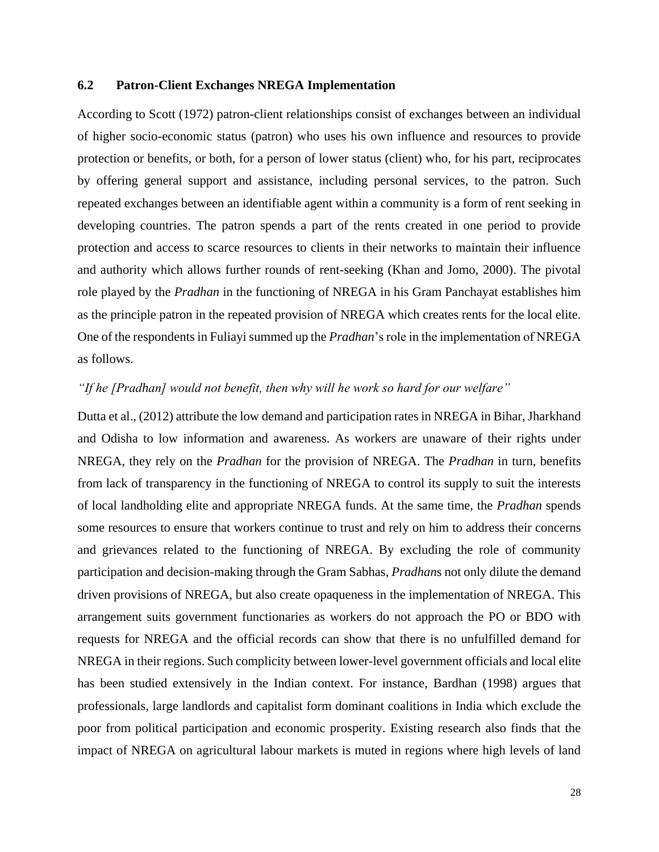# **6.2 Patron-Client Exchanges NREGA Implementation**

According to Scott (1972) patron-client relationships consist of exchanges between an individual of higher socio-economic status (patron) who uses his own influence and resources to provide protection or benefits, or both, for a person of lower status (client) who, for his part, reciprocates by offering general support and assistance, including personal services, to the patron. Such repeated exchanges between an identifiable agent within a community is a form of rent seeking in developing countries. The patron spends a part of the rents created in one period to provide protection and access to scarce resources to clients in their networks to maintain their influence and authority which allows further rounds of rent-seeking (Khan and Jomo, 2000). The pivotal role played by the *Pradhan* in the functioning of NREGA in his Gram Panchayat establishes him as the principle patron in the repeated provision of NREGA which creates rents for the local elite. One of the respondents in Fuliayi summed up the *Pradhan*'s role in the implementation of NREGA as follows.

# *"If he [Pradhan] would not benefit, then why will he work so hard for our welfare"*

Dutta et al., (2012) attribute the low demand and participation rates in NREGA in Bihar, Jharkhand and Odisha to low information and awareness. As workers are unaware of their rights under NREGA, they rely on the *Pradhan* for the provision of NREGA. The *Pradhan* in turn, benefits from lack of transparency in the functioning of NREGA to control its supply to suit the interests of local landholding elite and appropriate NREGA funds. At the same time, the *Pradhan* spends some resources to ensure that workers continue to trust and rely on him to address their concerns and grievances related to the functioning of NREGA. By excluding the role of community participation and decision-making through the Gram Sabhas, *Pradhan*s not only dilute the demand driven provisions of NREGA, but also create opaqueness in the implementation of NREGA. This arrangement suits government functionaries as workers do not approach the PO or BDO with requests for NREGA and the official records can show that there is no unfulfilled demand for NREGA in their regions. Such complicity between lower-level government officials and local elite has been studied extensively in the Indian context. For instance, Bardhan (1998) argues that professionals, large landlords and capitalist form dominant coalitions in India which exclude the poor from political participation and economic prosperity. Existing research also finds that the impact of NREGA on agricultural labour markets is muted in regions where high levels of land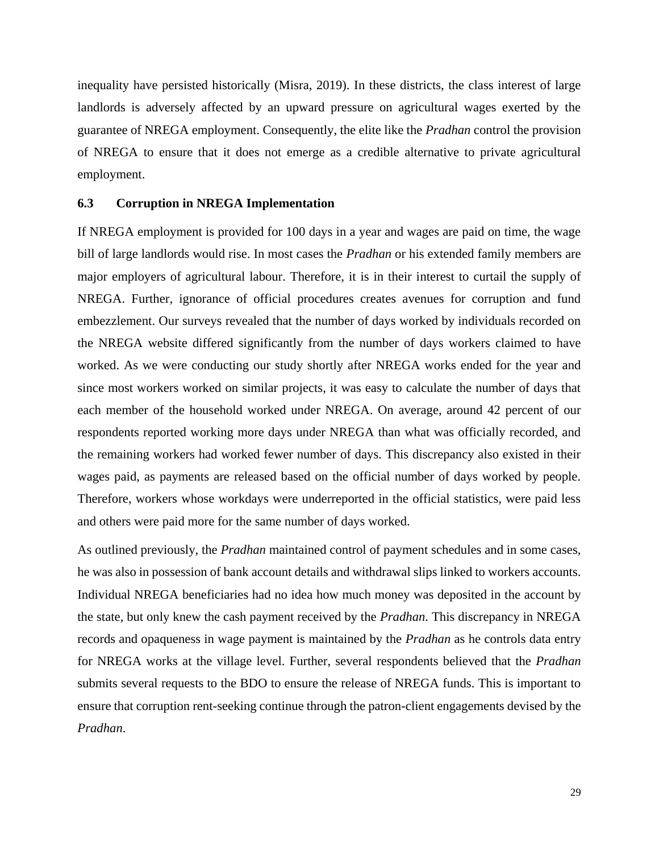inequality have persisted historically (Misra, 2019). In these districts, the class interest of large landlords is adversely affected by an upward pressure on agricultural wages exerted by the guarantee of NREGA employment. Consequently, the elite like the *Pradhan* control the provision of NREGA to ensure that it does not emerge as a credible alternative to private agricultural employment.

#### **6.3 Corruption in NREGA Implementation**

If NREGA employment is provided for 100 days in a year and wages are paid on time, the wage bill of large landlords would rise. In most cases the *Pradhan* or his extended family members are major employers of agricultural labour. Therefore, it is in their interest to curtail the supply of NREGA. Further, ignorance of official procedures creates avenues for corruption and fund embezzlement. Our surveys revealed that the number of days worked by individuals recorded on the NREGA website differed significantly from the number of days workers claimed to have worked. As we were conducting our study shortly after NREGA works ended for the year and since most workers worked on similar projects, it was easy to calculate the number of days that each member of the household worked under NREGA. On average, around 42 percent of our respondents reported working more days under NREGA than what was officially recorded, and the remaining workers had worked fewer number of days. This discrepancy also existed in their wages paid, as payments are released based on the official number of days worked by people. Therefore, workers whose workdays were underreported in the official statistics, were paid less and others were paid more for the same number of days worked.

As outlined previously, the *Pradhan* maintained control of payment schedules and in some cases, he was also in possession of bank account details and withdrawal slips linked to workers accounts. Individual NREGA beneficiaries had no idea how much money was deposited in the account by the state, but only knew the cash payment received by the *Pradhan*. This discrepancy in NREGA records and opaqueness in wage payment is maintained by the *Pradhan* as he controls data entry for NREGA works at the village level. Further, several respondents believed that the *Pradhan* submits several requests to the BDO to ensure the release of NREGA funds. This is important to ensure that corruption rent-seeking continue through the patron-client engagements devised by the *Pradhan*.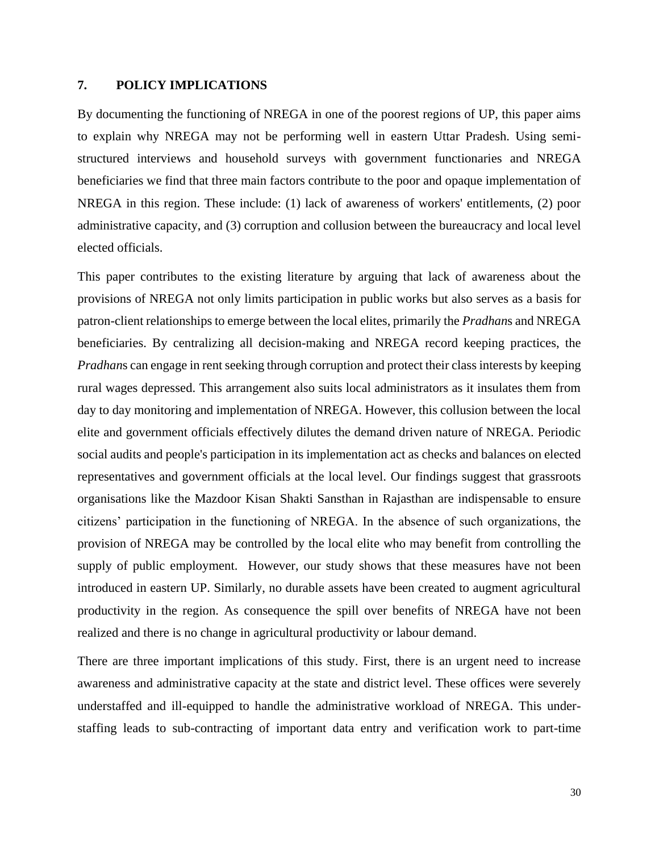# **7. POLICY IMPLICATIONS**

By documenting the functioning of NREGA in one of the poorest regions of UP, this paper aims to explain why NREGA may not be performing well in eastern Uttar Pradesh. Using semistructured interviews and household surveys with government functionaries and NREGA beneficiaries we find that three main factors contribute to the poor and opaque implementation of NREGA in this region. These include: (1) lack of awareness of workers' entitlements, (2) poor administrative capacity, and (3) corruption and collusion between the bureaucracy and local level elected officials.

This paper contributes to the existing literature by arguing that lack of awareness about the provisions of NREGA not only limits participation in public works but also serves as a basis for patron-client relationships to emerge between the local elites, primarily the *Pradhan*s and NREGA beneficiaries. By centralizing all decision-making and NREGA record keeping practices, the *Pradhan*s can engage in rent seeking through corruption and protect their class interests by keeping rural wages depressed. This arrangement also suits local administrators as it insulates them from day to day monitoring and implementation of NREGA. However, this collusion between the local elite and government officials effectively dilutes the demand driven nature of NREGA. Periodic social audits and people's participation in its implementation act as checks and balances on elected representatives and government officials at the local level. Our findings suggest that grassroots organisations like the Mazdoor Kisan Shakti Sansthan in Rajasthan are indispensable to ensure citizens' participation in the functioning of NREGA. In the absence of such organizations, the provision of NREGA may be controlled by the local elite who may benefit from controlling the supply of public employment. However, our study shows that these measures have not been introduced in eastern UP. Similarly, no durable assets have been created to augment agricultural productivity in the region. As consequence the spill over benefits of NREGA have not been realized and there is no change in agricultural productivity or labour demand.

There are three important implications of this study. First, there is an urgent need to increase awareness and administrative capacity at the state and district level. These offices were severely understaffed and ill-equipped to handle the administrative workload of NREGA. This understaffing leads to sub-contracting of important data entry and verification work to part-time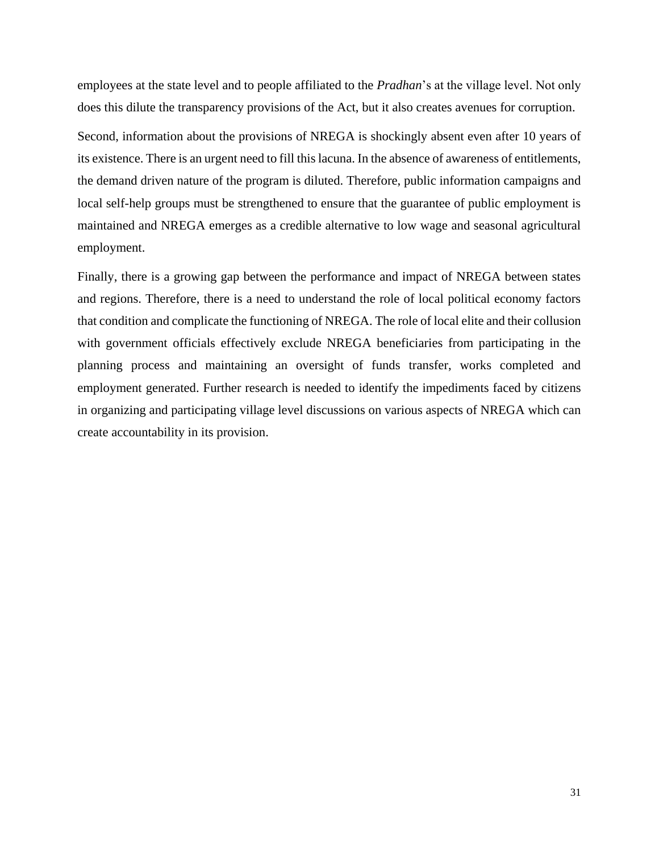employees at the state level and to people affiliated to the *Pradhan*'s at the village level. Not only does this dilute the transparency provisions of the Act, but it also creates avenues for corruption.

Second, information about the provisions of NREGA is shockingly absent even after 10 years of its existence. There is an urgent need to fill this lacuna. In the absence of awareness of entitlements, the demand driven nature of the program is diluted. Therefore, public information campaigns and local self-help groups must be strengthened to ensure that the guarantee of public employment is maintained and NREGA emerges as a credible alternative to low wage and seasonal agricultural employment.

Finally, there is a growing gap between the performance and impact of NREGA between states and regions. Therefore, there is a need to understand the role of local political economy factors that condition and complicate the functioning of NREGA. The role of local elite and their collusion with government officials effectively exclude NREGA beneficiaries from participating in the planning process and maintaining an oversight of funds transfer, works completed and employment generated. Further research is needed to identify the impediments faced by citizens in organizing and participating village level discussions on various aspects of NREGA which can create accountability in its provision.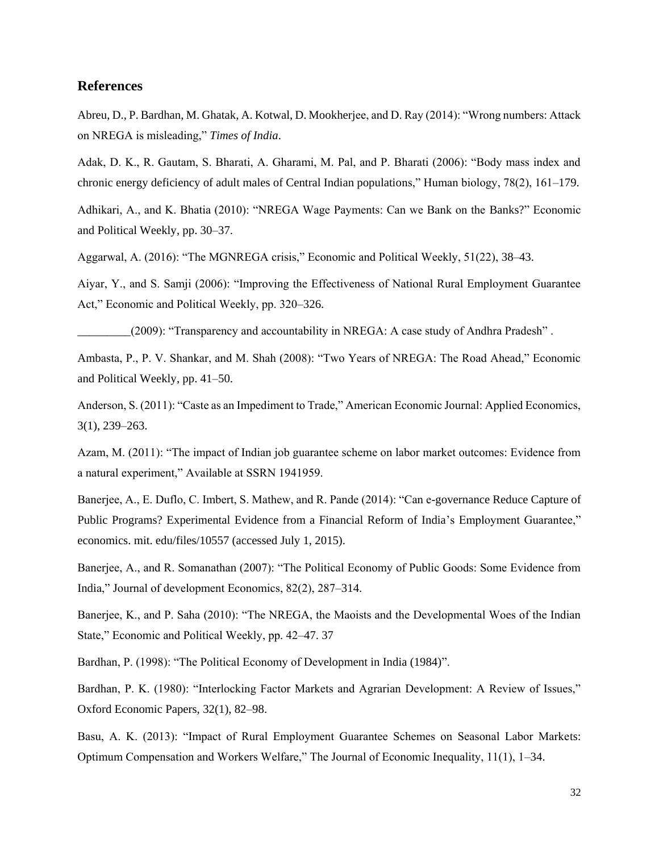### **References**

Abreu, D., P. Bardhan, M. Ghatak, A. Kotwal, D. Mookherjee, and D. Ray (2014): "Wrong numbers: Attack on NREGA is misleading," *Times of India*.

Adak, D. K., R. Gautam, S. Bharati, A. Gharami, M. Pal, and P. Bharati (2006): "Body mass index and chronic energy deficiency of adult males of Central Indian populations," Human biology, 78(2), 161–179.

Adhikari, A., and K. Bhatia (2010): "NREGA Wage Payments: Can we Bank on the Banks?" Economic and Political Weekly, pp. 30–37.

Aggarwal, A. (2016): "The MGNREGA crisis," Economic and Political Weekly, 51(22), 38–43.

Aiyar, Y., and S. Samji (2006): "Improving the Effectiveness of National Rural Employment Guarantee Act," Economic and Political Weekly, pp. 320–326.

\_\_\_\_\_\_\_\_\_(2009): "Transparency and accountability in NREGA: A case study of Andhra Pradesh" .

Ambasta, P., P. V. Shankar, and M. Shah (2008): "Two Years of NREGA: The Road Ahead," Economic and Political Weekly, pp. 41–50.

Anderson, S. (2011): "Caste as an Impediment to Trade," American Economic Journal: Applied Economics, 3(1), 239–263.

Azam, M. (2011): "The impact of Indian job guarantee scheme on labor market outcomes: Evidence from a natural experiment," Available at SSRN 1941959.

Banerjee, A., E. Duflo, C. Imbert, S. Mathew, and R. Pande (2014): "Can e-governance Reduce Capture of Public Programs? Experimental Evidence from a Financial Reform of India's Employment Guarantee," economics. mit. edu/files/10557 (accessed July 1, 2015).

Banerjee, A., and R. Somanathan (2007): "The Political Economy of Public Goods: Some Evidence from India," Journal of development Economics, 82(2), 287–314.

Banerjee, K., and P. Saha (2010): "The NREGA, the Maoists and the Developmental Woes of the Indian State," Economic and Political Weekly, pp. 42–47. 37

Bardhan, P. (1998): "The Political Economy of Development in India (1984)".

Bardhan, P. K. (1980): "Interlocking Factor Markets and Agrarian Development: A Review of Issues," Oxford Economic Papers, 32(1), 82–98.

Basu, A. K. (2013): "Impact of Rural Employment Guarantee Schemes on Seasonal Labor Markets: Optimum Compensation and Workers Welfare," The Journal of Economic Inequality, 11(1), 1–34.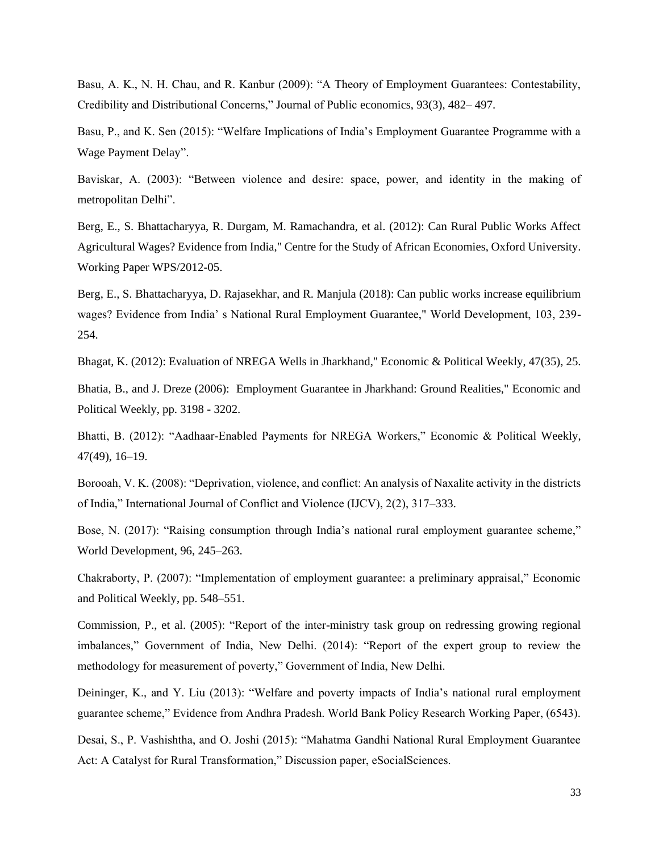Basu, A. K., N. H. Chau, and R. Kanbur (2009): "A Theory of Employment Guarantees: Contestability, Credibility and Distributional Concerns," Journal of Public economics, 93(3), 482– 497.

Basu, P., and K. Sen (2015): "Welfare Implications of India's Employment Guarantee Programme with a Wage Payment Delay".

Baviskar, A. (2003): "Between violence and desire: space, power, and identity in the making of metropolitan Delhi".

Berg, E., S. Bhattacharyya, R. Durgam, M. Ramachandra, et al. (2012): Can Rural Public Works Affect Agricultural Wages? Evidence from India," Centre for the Study of African Economies, Oxford University. Working Paper WPS/2012-05.

Berg, E., S. Bhattacharyya, D. Rajasekhar, and R. Manjula (2018): Can public works increase equilibrium wages? Evidence from India' s National Rural Employment Guarantee," World Development, 103, 239- 254.

Bhagat, K. (2012): Evaluation of NREGA Wells in Jharkhand," Economic & Political Weekly, 47(35), 25.

Bhatia, B., and J. Dreze (2006): Employment Guarantee in Jharkhand: Ground Realities," Economic and Political Weekly, pp. 3198 - 3202.

Bhatti, B. (2012): "Aadhaar-Enabled Payments for NREGA Workers," Economic & Political Weekly, 47(49), 16–19.

Borooah, V. K. (2008): "Deprivation, violence, and conflict: An analysis of Naxalite activity in the districts of India," International Journal of Conflict and Violence (IJCV), 2(2), 317–333.

Bose, N. (2017): "Raising consumption through India's national rural employment guarantee scheme," World Development, 96, 245–263.

Chakraborty, P. (2007): "Implementation of employment guarantee: a preliminary appraisal," Economic and Political Weekly, pp. 548–551.

Commission, P., et al. (2005): "Report of the inter-ministry task group on redressing growing regional imbalances," Government of India, New Delhi. (2014): "Report of the expert group to review the methodology for measurement of poverty," Government of India, New Delhi.

Deininger, K., and Y. Liu (2013): "Welfare and poverty impacts of India's national rural employment guarantee scheme," Evidence from Andhra Pradesh. World Bank Policy Research Working Paper, (6543).

Desai, S., P. Vashishtha, and O. Joshi (2015): "Mahatma Gandhi National Rural Employment Guarantee Act: A Catalyst for Rural Transformation," Discussion paper, eSocialSciences.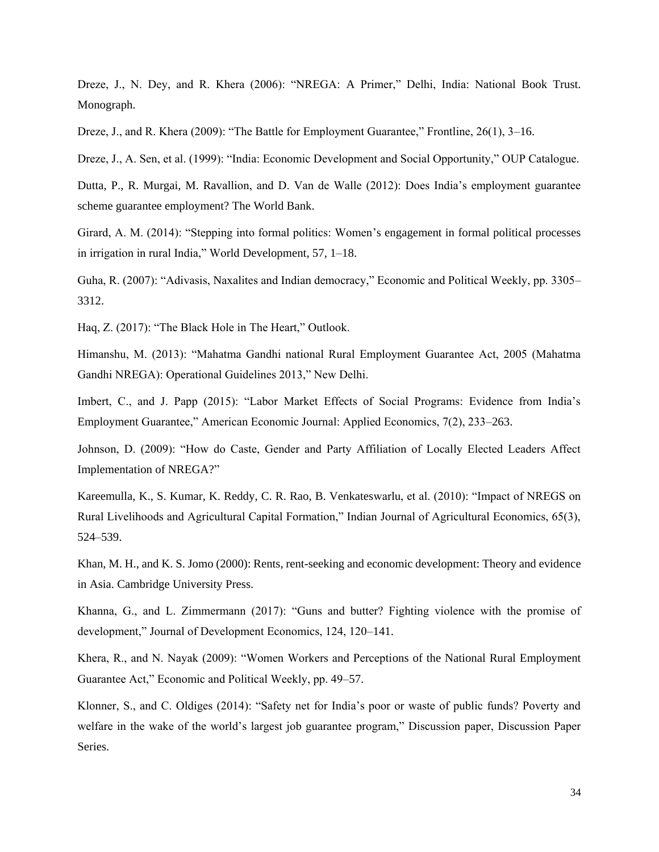Dreze, J., N. Dey, and R. Khera (2006): "NREGA: A Primer," Delhi, India: National Book Trust. Monograph.

Dreze, J., and R. Khera (2009): "The Battle for Employment Guarantee," Frontline, 26(1), 3–16.

Dreze, J., A. Sen, et al. (1999): "India: Economic Development and Social Opportunity," OUP Catalogue.

Dutta, P., R. Murgai, M. Ravallion, and D. Van de Walle (2012): Does India's employment guarantee scheme guarantee employment? The World Bank.

Girard, A. M. (2014): "Stepping into formal politics: Women's engagement in formal political processes in irrigation in rural India," World Development, 57, 1–18.

Guha, R. (2007): "Adivasis, Naxalites and Indian democracy," Economic and Political Weekly, pp. 3305– 3312.

Haq, Z. (2017): "The Black Hole in The Heart," Outlook.

Himanshu, M. (2013): "Mahatma Gandhi national Rural Employment Guarantee Act, 2005 (Mahatma Gandhi NREGA): Operational Guidelines 2013," New Delhi.

Imbert, C., and J. Papp (2015): "Labor Market Effects of Social Programs: Evidence from India's Employment Guarantee," American Economic Journal: Applied Economics, 7(2), 233–263.

Johnson, D. (2009): "How do Caste, Gender and Party Affiliation of Locally Elected Leaders Affect Implementation of NREGA?"

Kareemulla, K., S. Kumar, K. Reddy, C. R. Rao, B. Venkateswarlu, et al. (2010): "Impact of NREGS on Rural Livelihoods and Agricultural Capital Formation," Indian Journal of Agricultural Economics, 65(3), 524–539.

Khan, M. H., and K. S. Jomo (2000): Rents, rent-seeking and economic development: Theory and evidence in Asia. Cambridge University Press.

Khanna, G., and L. Zimmermann (2017): "Guns and butter? Fighting violence with the promise of development," Journal of Development Economics, 124, 120–141.

Khera, R., and N. Nayak (2009): "Women Workers and Perceptions of the National Rural Employment Guarantee Act," Economic and Political Weekly, pp. 49–57.

Klonner, S., and C. Oldiges (2014): "Safety net for India's poor or waste of public funds? Poverty and welfare in the wake of the world's largest job guarantee program," Discussion paper, Discussion Paper Series.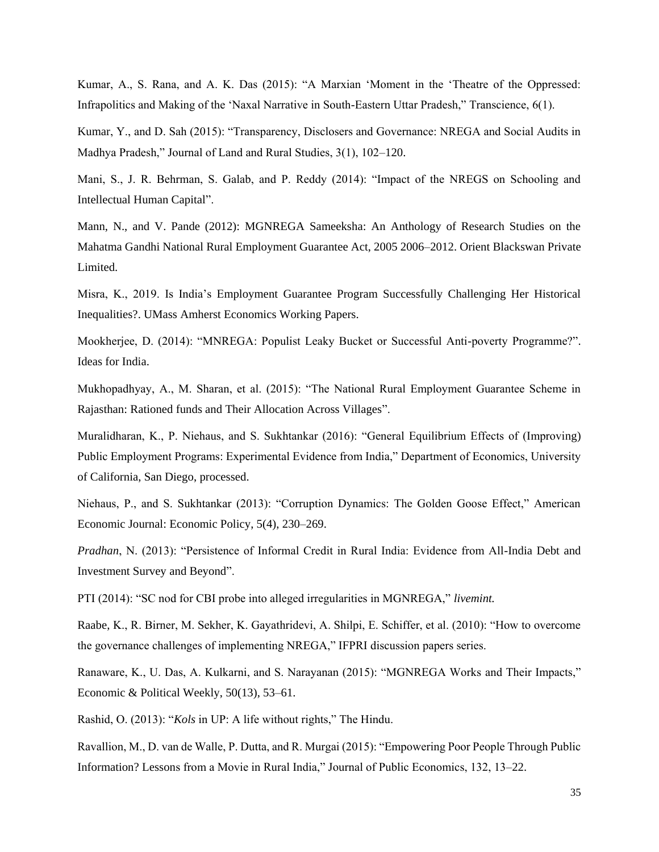Kumar, A., S. Rana, and A. K. Das (2015): "A Marxian 'Moment in the 'Theatre of the Oppressed: Infrapolitics and Making of the 'Naxal Narrative in South-Eastern Uttar Pradesh," Transcience, 6(1).

Kumar, Y., and D. Sah (2015): "Transparency, Disclosers and Governance: NREGA and Social Audits in Madhya Pradesh," Journal of Land and Rural Studies, 3(1), 102–120.

Mani, S., J. R. Behrman, S. Galab, and P. Reddy (2014): "Impact of the NREGS on Schooling and Intellectual Human Capital".

Mann, N., and V. Pande (2012): MGNREGA Sameeksha: An Anthology of Research Studies on the Mahatma Gandhi National Rural Employment Guarantee Act, 2005 2006–2012. Orient Blackswan Private Limited.

Misra, K., 2019. Is India's Employment Guarantee Program Successfully Challenging Her Historical Inequalities?. UMass Amherst Economics Working Papers.

Mookherjee, D. (2014): "MNREGA: Populist Leaky Bucket or Successful Anti-poverty Programme?". Ideas for India.

Mukhopadhyay, A., M. Sharan, et al. (2015): "The National Rural Employment Guarantee Scheme in Rajasthan: Rationed funds and Their Allocation Across Villages".

Muralidharan, K., P. Niehaus, and S. Sukhtankar (2016): "General Equilibrium Effects of (Improving) Public Employment Programs: Experimental Evidence from India," Department of Economics, University of California, San Diego, processed.

Niehaus, P., and S. Sukhtankar (2013): "Corruption Dynamics: The Golden Goose Effect," American Economic Journal: Economic Policy, 5(4), 230–269.

*Pradhan*, N. (2013): "Persistence of Informal Credit in Rural India: Evidence from All-India Debt and Investment Survey and Beyond".

PTI (2014): "SC nod for CBI probe into alleged irregularities in MGNREGA," *livemint.*

Raabe, K., R. Birner, M. Sekher, K. Gayathridevi, A. Shilpi, E. Schiffer, et al. (2010): "How to overcome the governance challenges of implementing NREGA," IFPRI discussion papers series.

Ranaware, K., U. Das, A. Kulkarni, and S. Narayanan (2015): "MGNREGA Works and Their Impacts," Economic & Political Weekly, 50(13), 53–61.

Rashid, O. (2013): "*Kols* in UP: A life without rights," The Hindu.

Ravallion, M., D. van de Walle, P. Dutta, and R. Murgai (2015): "Empowering Poor People Through Public Information? Lessons from a Movie in Rural India," Journal of Public Economics, 132, 13–22.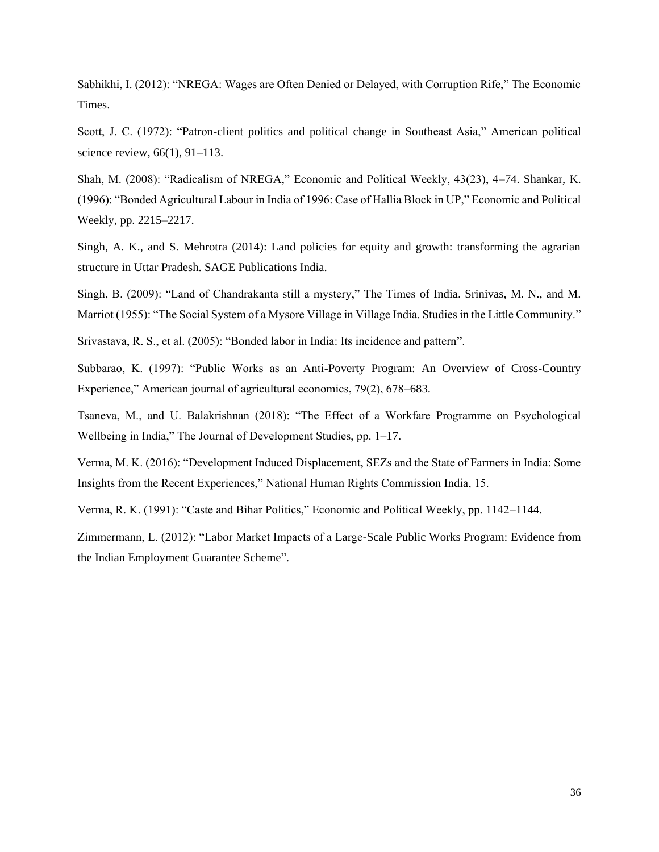Sabhikhi, I. (2012): "NREGA: Wages are Often Denied or Delayed, with Corruption Rife," The Economic Times.

Scott, J. C. (1972): "Patron-client politics and political change in Southeast Asia," American political science review, 66(1), 91–113.

Shah, M. (2008): "Radicalism of NREGA," Economic and Political Weekly, 43(23), 4–74. Shankar, K. (1996): "Bonded Agricultural Labour in India of 1996: Case of Hallia Block in UP," Economic and Political Weekly, pp. 2215–2217.

Singh, A. K., and S. Mehrotra (2014): Land policies for equity and growth: transforming the agrarian structure in Uttar Pradesh. SAGE Publications India.

Singh, B. (2009): "Land of Chandrakanta still a mystery," The Times of India. Srinivas, M. N., and M. Marriot (1955): "The Social System of a Mysore Village in Village India. Studies in the Little Community."

Srivastava, R. S., et al. (2005): "Bonded labor in India: Its incidence and pattern".

Subbarao, K. (1997): "Public Works as an Anti-Poverty Program: An Overview of Cross-Country Experience," American journal of agricultural economics, 79(2), 678–683.

Tsaneva, M., and U. Balakrishnan (2018): "The Effect of a Workfare Programme on Psychological Wellbeing in India," The Journal of Development Studies, pp. 1–17.

Verma, M. K. (2016): "Development Induced Displacement, SEZs and the State of Farmers in India: Some Insights from the Recent Experiences," National Human Rights Commission India, 15.

Verma, R. K. (1991): "Caste and Bihar Politics," Economic and Political Weekly, pp. 1142–1144.

Zimmermann, L. (2012): "Labor Market Impacts of a Large-Scale Public Works Program: Evidence from the Indian Employment Guarantee Scheme".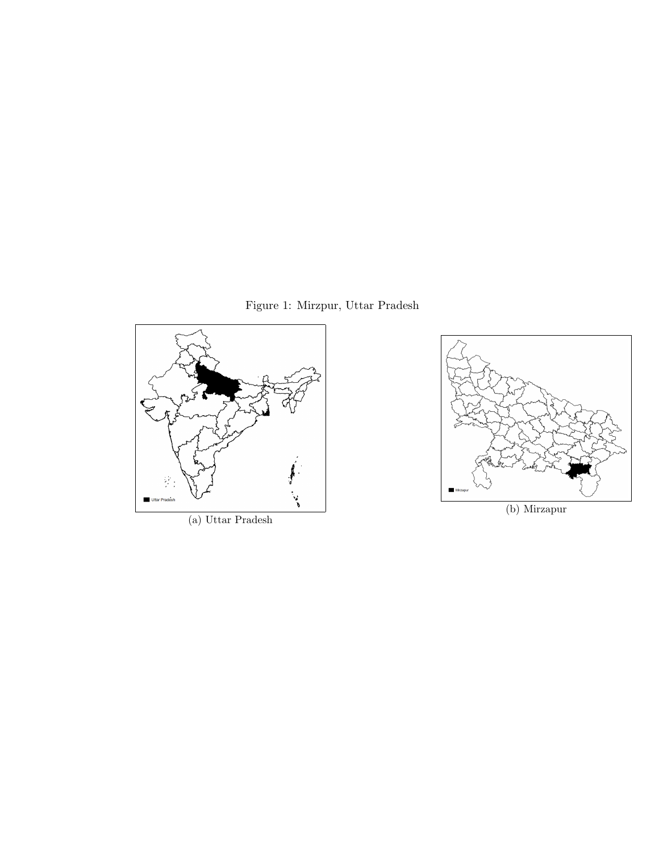Figure 1: Mirzpur, Uttar Pradesh



(a) Uttar Pradesh



(b) Mirzapur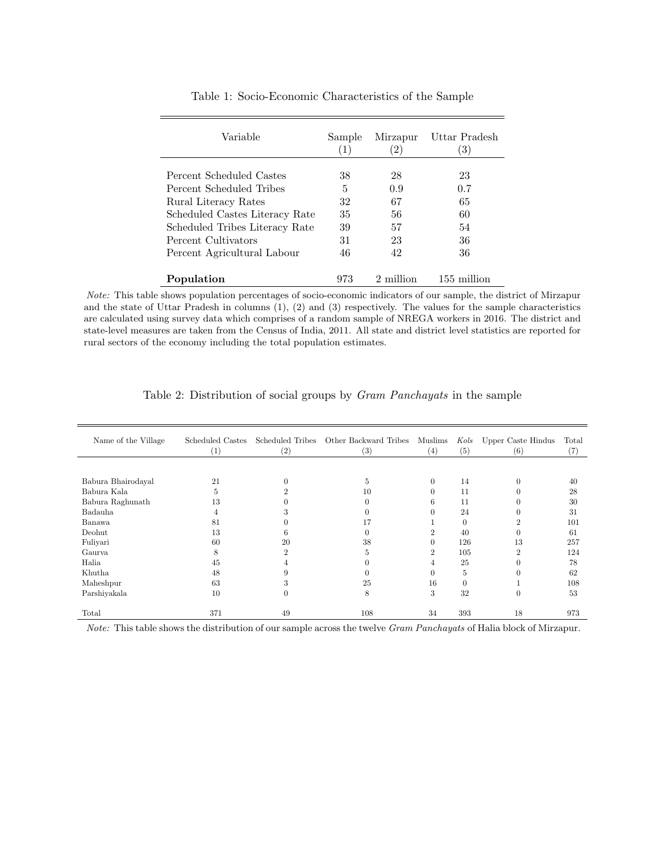| Variable                       | Sample           | Mirzapur    | Uttar Pradesh |
|--------------------------------|------------------|-------------|---------------|
|                                | $\left(1\right)$ | $2^{\circ}$ | 3)            |
| Percent Scheduled Castes       | 38               | 28          | 23            |
| Percent Scheduled Tribes       | 5                | 0.9         | 0.7           |
| Rural Literacy Rates           | 32               | 67          | 65            |
| Scheduled Castes Literacy Rate | 35               | 56          | 60            |
| Scheduled Tribes Literacy Rate | 39               | 57          | 54            |
| Percent Cultivators            | 31               | 23          | 36            |
| Percent Agricultural Labour    | 46               | 42          | 36            |
| Population                     | 973              | 2 million   | $155$ million |

Table 1: Socio-Economic Characteristics of the Sample

Note: This table shows population percentages of socio-economic indicators of our sample, the district of Mirzapur and the state of Uttar Pradesh in columns (1), (2) and (3) respectively. The values for the sample characteristics are calculated using survey data which comprises of a random sample of NREGA workers in 2016. The district and state-level measures are taken from the Census of India, 2011. All state and district level statistics are reported for rural sectors of the economy including the total population estimates.

| Name of the Village | Scheduled Castes<br>$\left(1\right)$ | (2)      | Scheduled Tribes Other Backward Tribes<br>(3) | Muslims<br>(4) | Kols<br>(5) | Upper Caste Hindus<br>(6) | Total<br>(7) |
|---------------------|--------------------------------------|----------|-----------------------------------------------|----------------|-------------|---------------------------|--------------|
|                     |                                      |          |                                               |                |             |                           |              |
| Babura Bhairodayal  | 21                                   | $\Omega$ | 5                                             | $\theta$       | 14          |                           | 40           |
| Babura Kala         | 5                                    |          | 10                                            | $\Omega$       | 11          |                           | 28           |
| Babura Raghunath    | 13                                   |          |                                               | <sub>b</sub>   | 11          |                           | 30           |
| Badauha             | 4                                    |          |                                               |                | 24          |                           | 31           |
| Banawa              | 81                                   |          | 17                                            |                |             |                           | 101          |
| Deohut              | 13                                   | h        |                                               |                | 40          |                           | 61           |
| Fuliyari            | 60                                   | 20       | 38                                            | $\Omega$       | 126         | 13                        | 257          |
| Gaurya              | 8                                    |          | 5                                             | 2              | 105         |                           | 124          |
| Halia               | 45                                   |          |                                               | 4              | 25          |                           | 78           |
| Khutha              | 48                                   |          |                                               | $\Omega$       | 5           |                           | 62           |
| Maheshpur           | 63                                   | 5        | 25                                            | 16             | $\Omega$    |                           | 108          |
| Parshiyakala        | 10                                   | $\Omega$ | 8                                             | 3              | 32          | $\Omega$                  | 53           |
| Total               | 371                                  | 49       | 108                                           | 34             | 393         | 18                        | 973          |

Table 2: Distribution of social groups by Gram Panchayats in the sample

Note: This table shows the distribution of our sample across the twelve Gram Panchayats of Halia block of Mirzapur.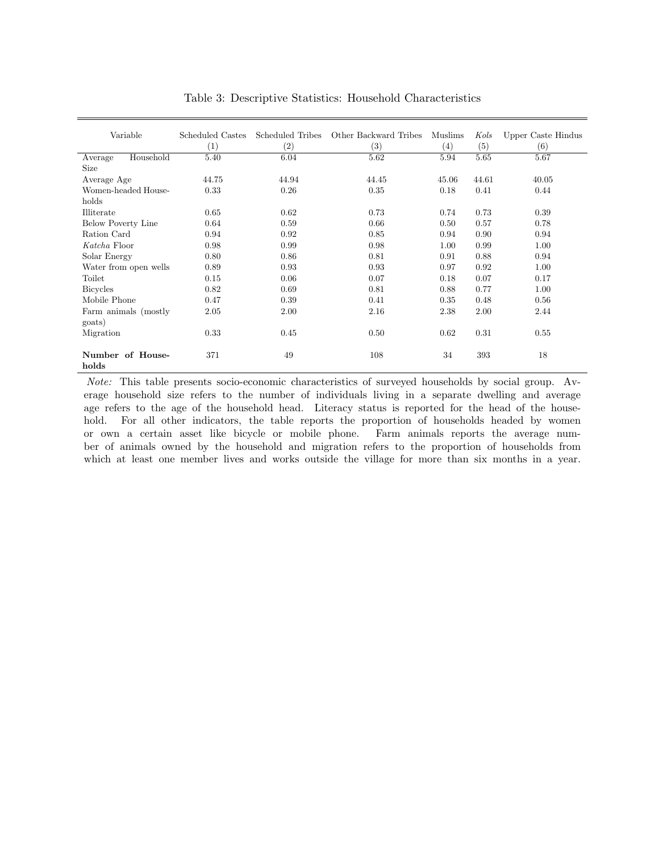| Variable                  | Scheduled Castes | Scheduled Tribes | Other Backward Tribes | Muslims           | Kols  | Upper Caste Hindus |
|---------------------------|------------------|------------------|-----------------------|-------------------|-------|--------------------|
|                           | (1)              | (2)              | (3)                   | $\left( 4\right)$ | (5)   | (6)                |
| Household<br>Average      | 5.40             | 6.04             | 5.62                  | 5.94              | 5.65  | 5.67               |
| <b>Size</b>               |                  |                  |                       |                   |       |                    |
| Average Age               | 44.75            | 44.94            | 44.45                 | 45.06             | 44.61 | 40.05              |
| Women-headed House-       | 0.33             | 0.26             | 0.35                  | 0.18              | 0.41  | 0.44               |
| holds                     |                  |                  |                       |                   |       |                    |
| Illiterate                | 0.65             | 0.62             | 0.73                  | 0.74              | 0.73  | 0.39               |
| <b>Below Poverty Line</b> | 0.64             | 0.59             | 0.66                  | 0.50              | 0.57  | 0.78               |
| Ration Card               | 0.94             | 0.92             | 0.85                  | 0.94              | 0.90  | 0.94               |
| Katcha Floor              | 0.98             | 0.99             | 0.98                  | 1.00              | 0.99  | 1.00               |
| Solar Energy              | 0.80             | 0.86             | 0.81                  | 0.91              | 0.88  | 0.94               |
| Water from open wells     | 0.89             | 0.93             | 0.93                  | 0.97              | 0.92  | 1.00               |
| Toilet                    | 0.15             | 0.06             | 0.07                  | 0.18              | 0.07  | 0.17               |
| <b>Bicycles</b>           | 0.82             | 0.69             | 0.81                  | 0.88              | 0.77  | 1.00               |
| Mobile Phone              | 0.47             | 0.39             | 0.41                  | 0.35              | 0.48  | 0.56               |
| Farm animals (mostly      | 2.05             | 2.00             | 2.16                  | 2.38              | 2.00  | 2.44               |
| goats)                    |                  |                  |                       |                   |       |                    |
| Migration                 | 0.33             | 0.45             | 0.50                  | 0.62              | 0.31  | 0.55               |
|                           |                  |                  |                       |                   |       |                    |
| Number of House-          | 371              | 49               | 108                   | 34                | 393   | 18                 |
| holds                     |                  |                  |                       |                   |       |                    |

Table 3: Descriptive Statistics: Household Characteristics

Note: This table presents socio-economic characteristics of surveyed households by social group. Average household size refers to the number of individuals living in a separate dwelling and average age refers to the age of the household head. Literacy status is reported for the head of the household. For all other indicators, the table reports the proportion of households headed by women or own a certain asset like bicycle or mobile phone. Farm animals reports the average number of animals owned by the household and migration refers to the proportion of households from which at least one member lives and works outside the village for more than six months in a year.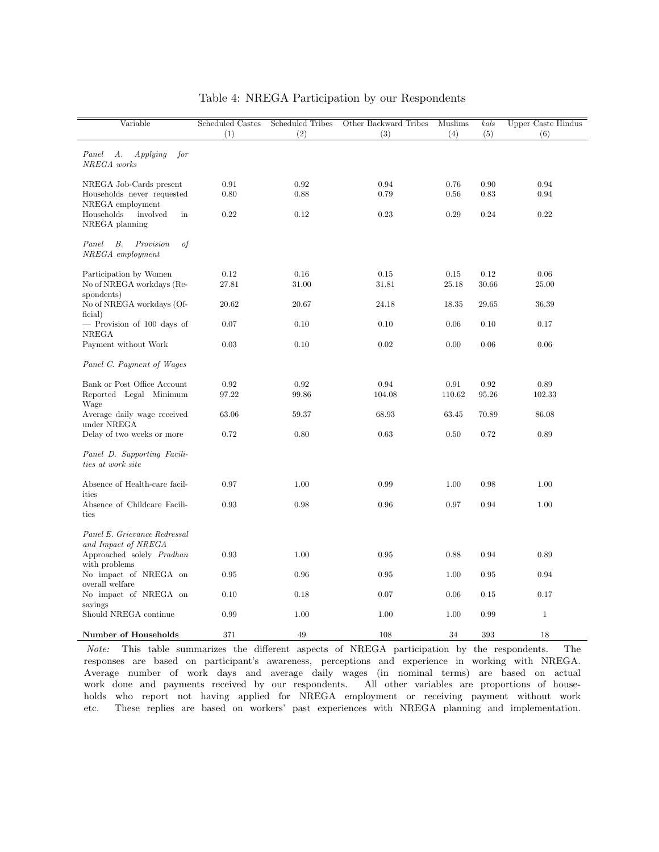| Variable                                            | Scheduled Castes | <b>Scheduled Tribes</b> | Other Backward Tribes | Muslims | kols  | Upper Caste Hindus |
|-----------------------------------------------------|------------------|-------------------------|-----------------------|---------|-------|--------------------|
|                                                     | (1)              | (2)                     | (3)                   | (4)     | (5)   | (6)                |
| Applying<br>Panel<br>А.<br>for<br>NREGA works       |                  |                         |                       |         |       |                    |
| NREGA Job-Cards present                             | 0.91             | 0.92                    | 0.94                  | 0.76    | 0.90  | 0.94               |
| Households never requested                          | 0.80             | 0.88                    | 0.79                  | 0.56    | 0.83  | 0.94               |
| NREGA employment<br>Households<br>involved<br>in    | 0.22             | 0.12                    | 0.23                  | 0.29    | 0.24  | 0.22               |
| NREGA planning                                      |                  |                         |                       |         |       |                    |
| of<br>Panel<br>В.<br>Provision<br>NREGA employment  |                  |                         |                       |         |       |                    |
| Participation by Women                              | 0.12             | 0.16                    | 0.15                  | 0.15    | 0.12  | 0.06               |
| No of NREGA workdays (Re-                           | 27.81            | 31.00                   | 31.81                 | 25.18   | 30.66 | 25.00              |
| spondents)<br>No of NREGA workdays (Of-<br>ficial)  | 20.62            | 20.67                   | 24.18                 | 18.35   | 29.65 | 36.39              |
| - Provision of 100 days of                          | 0.07             | 0.10                    | 0.10                  | 0.06    | 0.10  | 0.17               |
| <b>NREGA</b><br>Payment without Work                | 0.03             | 0.10                    | 0.02                  | 0.00    | 0.06  | 0.06               |
| Panel C. Payment of Wages                           |                  |                         |                       |         |       |                    |
| Bank or Post Office Account                         | 0.92             | 0.92                    | 0.94                  | 0.91    | 0.92  | 0.89               |
| Reported Legal Minimum                              | 97.22            | 99.86                   | 104.08                | 110.62  | 95.26 | 102.33             |
| Wage<br>Average daily wage received<br>under NREGA  | 63.06            | 59.37                   | 68.93                 | 63.45   | 70.89 | 86.08              |
| Delay of two weeks or more                          | 0.72             | $0.80\,$                | 0.63                  | 0.50    | 0.72  | 0.89               |
| Panel D. Supporting Facili-<br>ties at work site    |                  |                         |                       |         |       |                    |
| Absence of Health-care facil-<br>ities              | 0.97             | 1.00                    | 0.99                  | 1.00    | 0.98  | 1.00               |
| Absence of Childcare Facili-<br>ties                | 0.93             | 0.98                    | 0.96                  | 0.97    | 0.94  | 1.00               |
| Panel E. Grievance Redressal<br>and Impact of NREGA |                  |                         |                       |         |       |                    |
| Approached solely Pradhan<br>with problems          | 0.93             | 1.00                    | $\rm 0.95$            | 0.88    | 0.94  | 0.89               |
| No impact of NREGA on<br>overall welfare            | 0.95             | 0.96                    | 0.95                  | 1.00    | 0.95  | 0.94               |
| No impact of NREGA on<br>savings                    | 0.10             | 0.18                    | 0.07                  | 0.06    | 0.15  | 0.17               |
| Should NREGA continue                               | 0.99             | 1.00                    | 1.00                  | 1.00    | 0.99  | $\mathbf{1}$       |
| Number of Households                                | 371              | 49                      | 108                   | 34      | 393   | 18                 |

#### Table 4: NREGA Participation by our Respondents

Note: This table summarizes the different aspects of NREGA participation by the respondents. The responses are based on participant's awareness, perceptions and experience in working with NREGA. Average number of work days and average daily wages (in nominal terms) are based on actual work done and payments received by our respondents. All other variables are proportions of households who report not having applied for NREGA employment or receiving payment without work etc. These replies are based on workers' past experiences with NREGA planning and implementation.